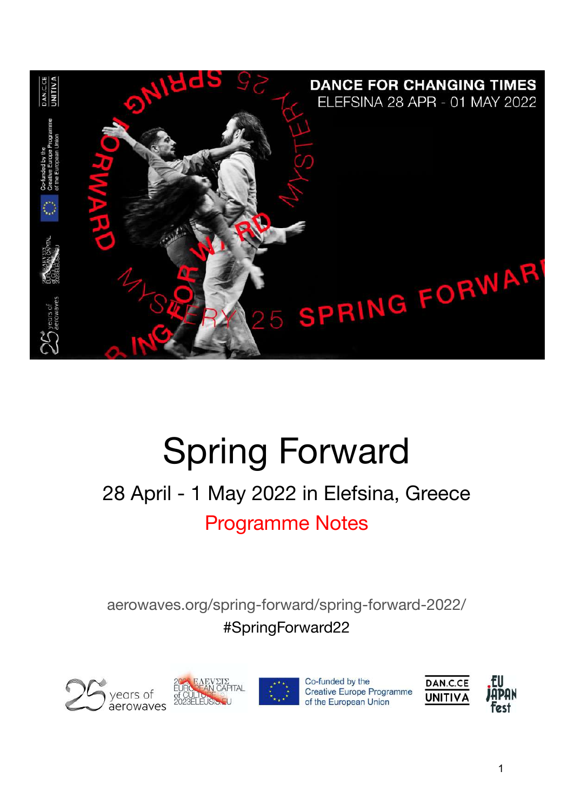

# Spring Forward

## 28 April - 1 May 2022 in Elefsina, Greece Programme Notes

aerowaves.org/spring-forward/spring-forward-2022/ #SpringForward22







Co-funded by the **Creative Europe Programme** of the European Union

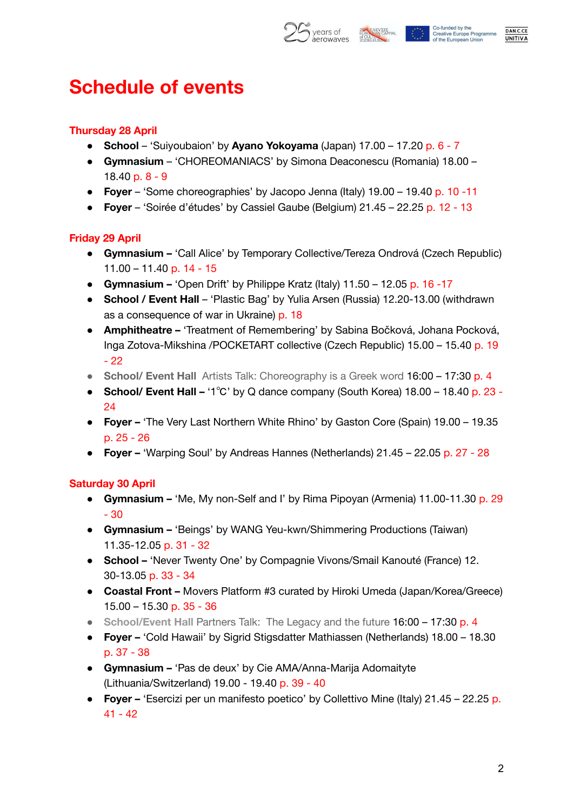



### **Schedule of events**

#### **Thursday 28 April**

- **School** 'Suiyoubaion' by **Ayano Yokoyama** (Japan) 17.00 17.20 p. 6 7
- **Gymnasium** 'CHOREOMANIACS' by Simona Deaconescu (Romania) 18.00 18.40 p. 8 - 9
- **Foyer** 'Some choreographies' by Jacopo Jenna (Italy) 19.00 19.40 p. 10 -11
- **Foyer** 'Soirée d'études' by Cassiel Gaube (Belgium) 21.45 22.25 p. 12 13

#### **Friday 29 April**

- **Gymnasium –** 'Call Alice' by Temporary Collective/Tereza Ondrová (Czech Republic) 11.00 – 11.40 p. 14 - 15
- **Gymnasium –** 'Open Drift' by Philippe Kratz (Italy) 11.50 12.05 p. 16 -17
- **School / Event Hall** 'Plastic Bag' by Yulia Arsen (Russia) 12.20-13.00 (withdrawn as a consequence of war in Ukraine) p. 18
- **Amphitheatre –** 'Treatment of Remembering' by Sabina Bočková, Johana Pocková, Inga Zotova-Mikshina /POCKETART collective (Czech Republic) 15.00 – 15.40 p. 19 - 22
- **School/ Event Hall** Artists Talk: Choreography is a Greek word 16:00 17:30 p. 4
- **School/ Event Hall –** '1℃' by Q dance company (South Korea) 18.00 18.40 p. 23 24
- **Foyer –** 'The Very Last Northern White Rhino' by Gaston Core (Spain) 19.00 19.35 p. 25 - 26
- **Foyer –** 'Warping Soul' by Andreas Hannes (Netherlands) 21.45 22.05 p. 27 28

#### **Saturday 30 April**

- **Gymnasium –** 'Me, My non-Self and I' by Rima Pipoyan (Armenia) 11.00-11.30 p. 29 - 30
- **Gymnasium –** 'Beings' by WANG Yeu-kwn/Shimmering Productions (Taiwan) 11.35-12.05 p. 31 - 32
- **School –** 'Never Twenty One' by Compagnie Vivons/Smail Kanouté (France) 12. 30-13.05 p. 33 - 34
- **Coastal Front –** Movers Platform #3 curated by Hiroki Umeda (Japan/Korea/Greece) 15.00 – 15.30 p. 35 - 36
- **School/Event Hall** Partners Talk: The Legacy and the future 16:00 17:30 p. 4
- **Foyer –** 'Cold Hawaii' by Sigrid Stigsdatter Mathiassen (Netherlands) 18.00 18.30 p. 37 - 38
- **Gymnasium –** 'Pas de deux' by Cie AMA/Anna-Marija Adomaityte (Lithuania/Switzerland) 19.00 - 19.40 p. 39 - 40
- **Foyer –** 'Esercizi per un manifesto poetico' by Collettivo Mine (Italy) 21.45 22.25 p. 41 - 42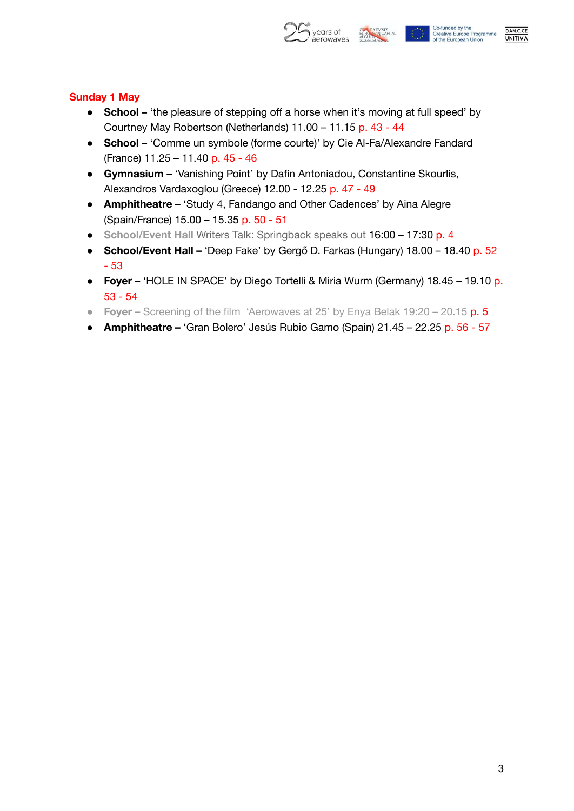

DAN.C.CE

**UNITIVA** 

#### **Sunday 1 May**

- **School –** 'the pleasure of stepping off a horse when it's moving at full speed' by Courtney May Robertson (Netherlands) 11.00 – 11.15 p. 43 - 44
- **School –** 'Comme un symbole (forme courte)' by Cie Al-Fa/Alexandre Fandard (France) 11.25 – 11.40 p. 45 - 46
- **Gymnasium –** 'Vanishing Point' by Dafin Antoniadou, Constantine Skourlis, Alexandros Vardaxoglou (Greece) 12.00 - 12.25 p. 47 - 49
- **Amphitheatre –** 'Study 4, Fandango and Other Cadences' by Aina Alegre (Spain/France) 15.00 – 15.35 p. 50 - 51
- **School/Event Hall** Writers Talk: Springback speaks out 16:00 17:30 p. 4
- **School/Event Hall –** 'Deep Fake' by Gergő D. Farkas (Hungary) 18.00 18.40 p. 52 - 53
- **Foyer –** 'HOLE IN SPACE' by Diego Tortelli & Miria Wurm (Germany) 18.45 19.10 p. 53 - 54
- **Foyer –** Screening of the film 'Aerowaves at 25' by Enya Belak 19:20 20.15 p. 5
- **Amphitheatre –** 'Gran Bolero' Jesús Rubio Gamo (Spain) 21.45 22.25 p. 56 57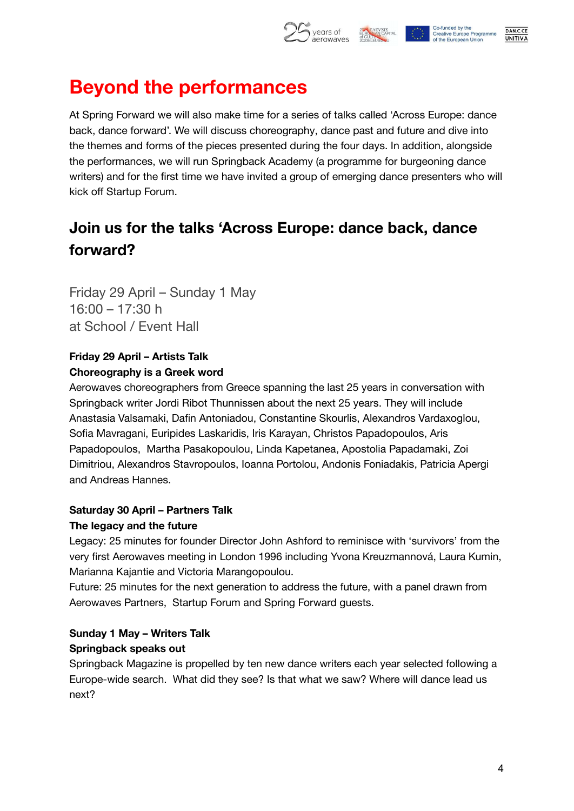

## **Beyond the performances**

At Spring Forward we will also make time for a series of talks called 'Across Europe: dance back, dance forward'. We will discuss choreography, dance past and future and dive into the themes and forms of the pieces presented during the four days. In addition, alongside the performances, we will run Springback Academy (a programme for burgeoning dance writers) and for the first time we have invited a group of emerging dance presenters who will kick off Startup Forum.

### **Join us for the talks 'Across Europe: dance back, dance forward?**

Friday 29 April – Sunday 1 May 16:00 – 17:30 h at School / Event Hall

#### **Friday 29 April – Artists Talk Choreography is a Greek word**

Aerowaves choreographers from Greece spanning the last 25 years in conversation with Springback writer Jordi Ribot Thunnissen about the next 25 years. They will include Anastasia Valsamaki, Dafin Antoniadou, Constantine Skourlis, Alexandros Vardaxoglou, Sofia Mavragani, Euripides Laskaridis, Iris Karayan, Christos Papadopoulos, Aris Papadopoulos, Martha Pasakopoulou, Linda Kapetanea, Apostolia Papadamaki, Zoi Dimitriou, Alexandros Stavropoulos, Ioanna Portolou, Andonis Foniadakis, Patricia Apergi and Andreas Hannes.

### **Saturday 30 April – Partners Talk**

#### **The legacy and the future**

Legacy: 25 minutes for founder Director John Ashford to reminisce with 'survivors' from the very first Aerowaves meeting in London 1996 including Yvona Kreuzmannová, Laura Kumin, Marianna Kajantie and Victoria Marangopoulou.

Future: 25 minutes for the next generation to address the future, with a panel drawn from Aerowaves Partners, Startup Forum and Spring Forward guests.

#### **Sunday 1 May – Writers Talk Springback speaks out**

Springback Magazine is propelled by ten new dance writers each year selected following a Europe-wide search. What did they see? Is that what we saw? Where will dance lead us next?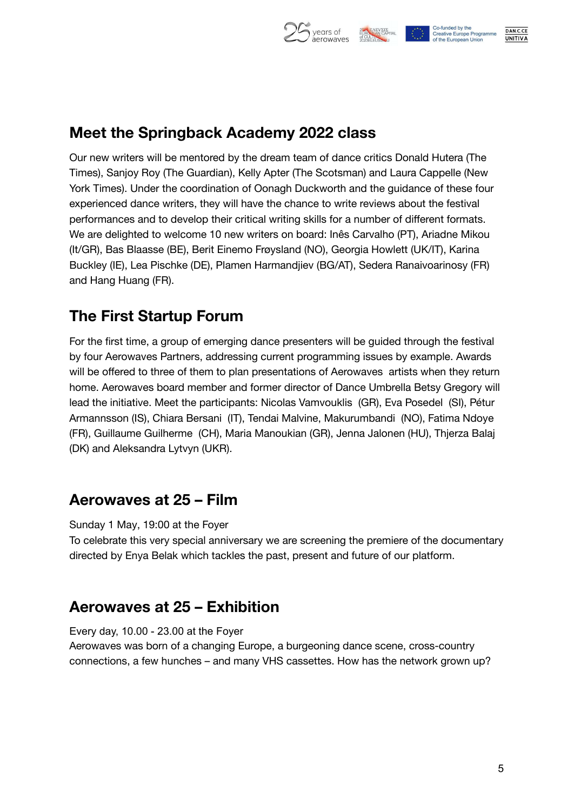

### **Meet the Springback Academy 2022 class**

Our new writers will be mentored by the dream team of dance critics Donald Hutera (The Times), Sanjoy Roy (The Guardian), Kelly Apter (The Scotsman) and Laura Cappelle (New York Times). Under the coordination of Oonagh Duckworth and the guidance of these four experienced dance writers, they will have the chance to write reviews about the festival performances and to develop their critical writing skills for a number of different formats. We are delighted to welcome 10 new writers on board: Inês Carvalho (PT), Ariadne Mikou (It/GR), Bas Blaasse (BE), Berit Einemo Frøysland (NO), Georgia Howlett (UK/IT), Karina Buckley (IE), Lea Pischke (DE), Plamen Harmandjiev (BG/AT), Sedera Ranaivoarinosy (FR) and Hang Huang (FR).

### **The First Startup Forum**

For the first time, a group of emerging dance presenters will be guided through the festival by four Aerowaves Partners, addressing current programming issues by example. Awards will be offered to three of them to plan presentations of Aerowaves artists when they return home. Aerowaves board member and former director of Dance Umbrella Betsy Gregory will lead the initiative. Meet the participants: Nicolas Vamvouklis (GR), Eva Posedel (SI), Pétur Armannsson (IS), Chiara Bersani (IT), Tendai Malvine, Makurumbandi (NO), Fatima Ndoye (FR), Guillaume Guilherme (CH), Maria Manoukian (GR), Jenna Jalonen (HU), Thjerza Balaj (DK) and Aleksandra Lytvyn (UKR).

### **Aerowaves at 25 – Film**

Sunday 1 May, 19:00 at the Foyer

To celebrate this very special anniversary we are screening the premiere of the documentary directed by Enya Belak which tackles the past, present and future of our platform.

### **Aerowaves at 25 – Exhibition**

Every day, 10.00 - 23.00 at the Foyer

Aerowaves was born of a changing Europe, a burgeoning dance scene, cross-country connections, a few hunches – and many VHS cassettes. How has the network grown up?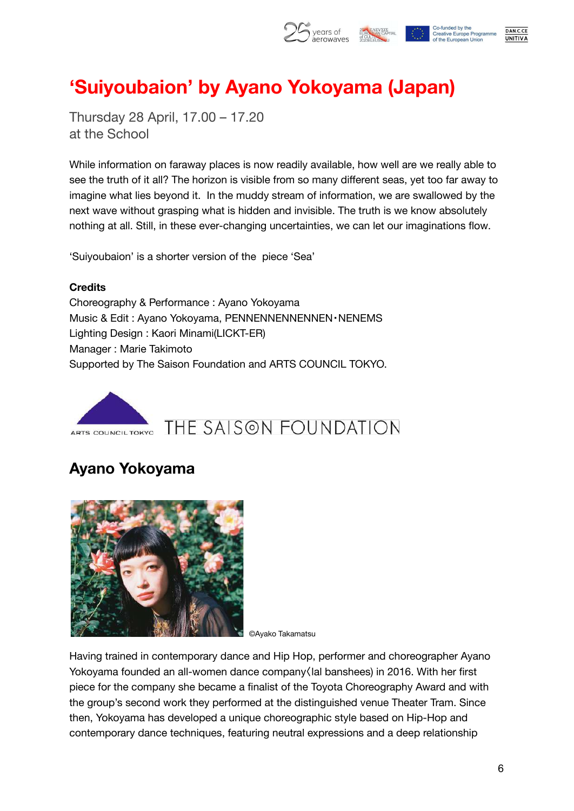

## **'Suiyoubaion' by Ayano Yokoyama (Japan)**

Thursday 28 April, 17.00 – 17.20 at the School

While information on faraway places is now readily available, how well are we really able to see the truth of it all? The horizon is visible from so many different seas, yet too far away to imagine what lies beyond it. In the muddy stream of information, we are swallowed by the next wave without grasping what is hidden and invisible. The truth is we know absolutely nothing at all. Still, in these ever-changing uncertainties, we can let our imaginations flow.

'Suiyoubaion' is a shorter version of the piece 'Sea'

#### **Credits**

Choreography & Performance : Ayano Yokoyama Music & Edit : Ayano Yokoyama, PENNENNENNENNEN · NENEMS Lighting Design : Kaori Minami(LICKT-ER) Manager : Marie Takimoto Supported by The Saison Foundation and ARTS COUNCIL TOKYO.



### **Ayano Yokoyama**



©Ayako Takamatsu

Having trained in contemporary dance and Hip Hop, performer and choreographer Ayano Yokoyama founded an all-women dance company〈lal banshees) in 2016. With her first piece for the company she became a finalist of the Toyota Choreography Award and with the group's second work they performed at the distinguished venue Theater Tram. Since then, Yokoyama has developed a unique choreographic style based on Hip-Hop and contemporary dance techniques, featuring neutral expressions and a deep relationship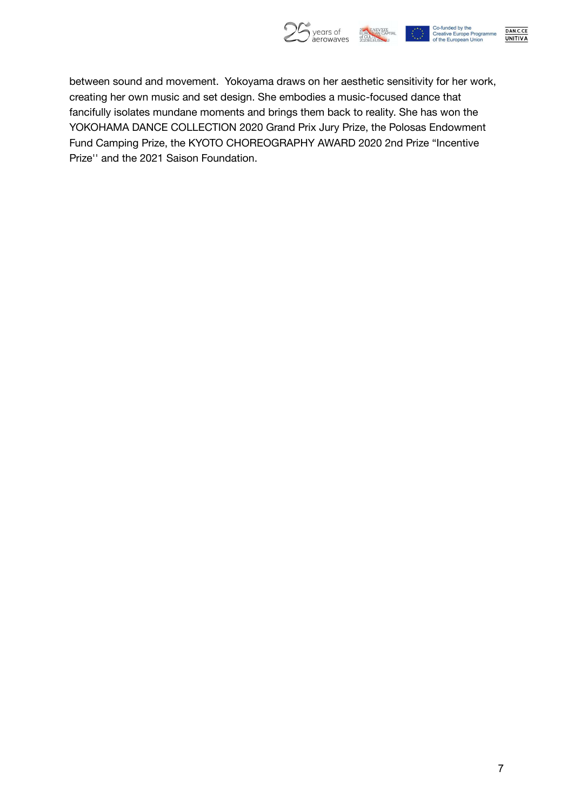

DAN.C.CE<br>UNITIVA

between sound and movement. Yokoyama draws on her aesthetic sensitivity for her work, creating her own music and set design. She embodies a music-focused dance that fancifully isolates mundane moments and brings them back to reality. She has won the YOKOHAMA DANCE COLLECTION 2020 Grand Prix Jury Prize, the Polosas Endowment Fund Camping Prize, the KYOTO CHOREOGRAPHY AWARD 2020 2nd Prize "Incentive Prize'' and the 2021 Saison Foundation.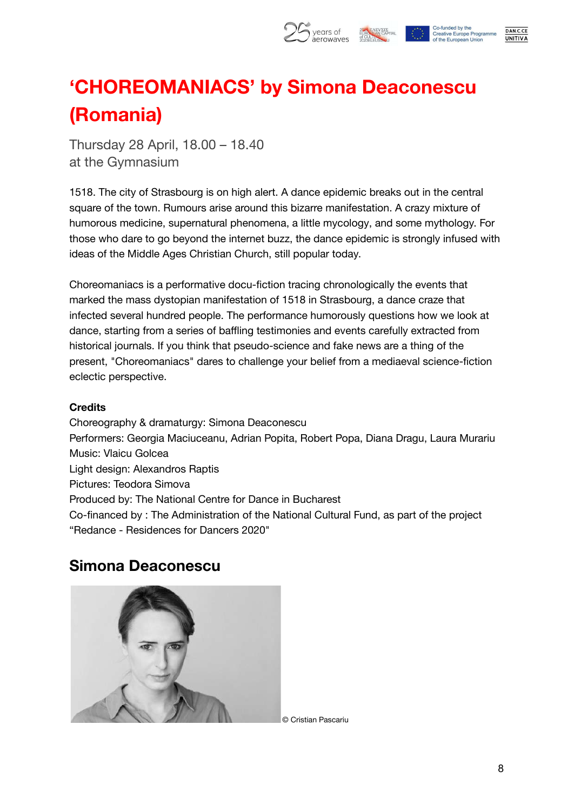

## **'CHOREOMANIACS' by Simona Deaconescu (Romania)**

Thursday 28 April, 18.00 – 18.40 at the Gymnasium

1518. The city of Strasbourg is on high alert. A dance epidemic breaks out in the central square of the town. Rumours arise around this bizarre manifestation. A crazy mixture of humorous medicine, supernatural phenomena, a little mycology, and some mythology. For those who dare to go beyond the internet buzz, the dance epidemic is strongly infused with ideas of the Middle Ages Christian Church, still popular today.

Choreomaniacs is a performative docu-fiction tracing chronologically the events that marked the mass dystopian manifestation of 1518 in Strasbourg, a dance craze that infected several hundred people. The performance humorously questions how we look at dance, starting from a series of baffling testimonies and events carefully extracted from historical journals. If you think that pseudo-science and fake news are a thing of the present, "Choreomaniacs" dares to challenge your belief from a mediaeval science-fiction eclectic perspective.

#### **Credits**

Choreography & dramaturgy: Simona Deaconescu Performers: Georgia Maciuceanu, Adrian Popita, Robert Popa, Diana Dragu, Laura Murariu Music: Vlaicu Golcea Light design: Alexandros Raptis Pictures: Teodora Simova Produced by: The National Centre for Dance in Bucharest Co-financed by : The Administration of the National Cultural Fund, as part of the project "Redance - Residences for Dancers 2020"

### **Simona Deaconescu**



© Cristian Pascariu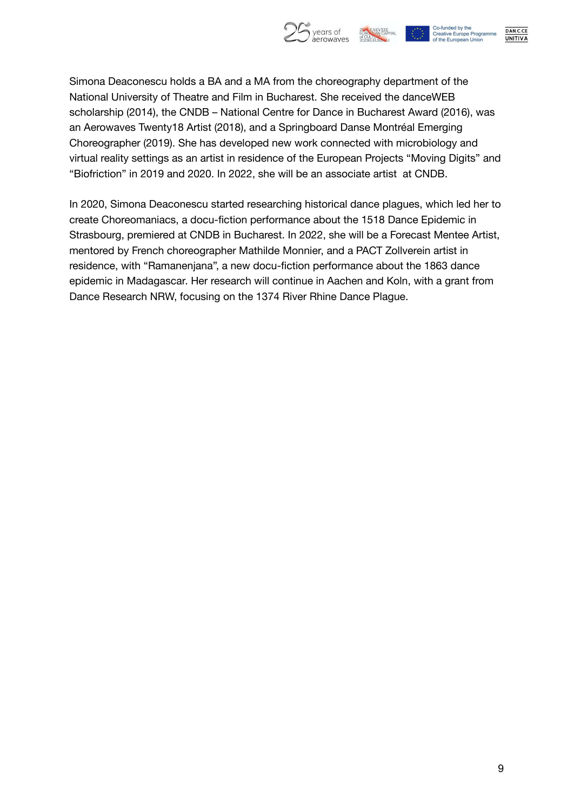

DAN.C.CE

**UNITIVA** 

Simona Deaconescu holds a BA and a MA from the choreography department of the National University of Theatre and Film in Bucharest. She received the danceWEB scholarship (2014), the CNDB – National Centre for Dance in Bucharest Award (2016), was an Aerowaves Twenty18 Artist (2018), and a Springboard Danse Montréal Emerging Choreographer (2019). She has developed new work connected with microbiology and virtual reality settings as an artist in residence of the European Projects "Moving Digits" and "Biofriction" in 2019 and 2020. In 2022, she will be an associate artist at CNDB.

In 2020, Simona Deaconescu started researching historical dance plagues, which led her to create Choreomaniacs, a docu-fiction performance about the 1518 Dance Epidemic in Strasbourg, premiered at CNDB in Bucharest. In 2022, she will be a Forecast Mentee Artist, mentored by French choreographer Mathilde Monnier, and a PACT Zollverein artist in residence, with "Ramanenjana", a new docu-fiction performance about the 1863 dance epidemic in Madagascar. Her research will continue in Aachen and Koln, with a grant from Dance Research NRW, focusing on the 1374 River Rhine Dance Plague.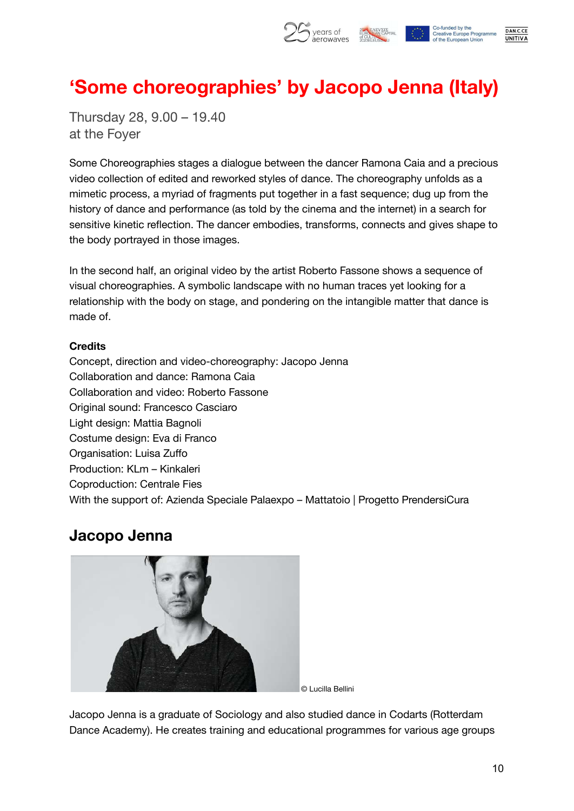

## **'Some choreographies' by Jacopo Jenna (Italy)**

Thursday 28, 9.00 – 19.40 at the Foyer

Some Choreographies stages a dialogue between the dancer Ramona Caia and a precious video collection of edited and reworked styles of dance. The choreography unfolds as a mimetic process, a myriad of fragments put together in a fast sequence; dug up from the history of dance and performance (as told by the cinema and the internet) in a search for sensitive kinetic reflection. The dancer embodies, transforms, connects and gives shape to the body portrayed in those images.

In the second half, an original video by the artist Roberto Fassone shows a sequence of visual choreographies. A symbolic landscape with no human traces yet looking for a relationship with the body on stage, and pondering on the intangible matter that dance is made of.

#### **Credits**

Concept, direction and video-choreography: Jacopo Jenna Collaboration and dance: Ramona Caia Collaboration and video: Roberto Fassone Original sound: Francesco Casciaro Light design: Mattia Bagnoli Costume design: Eva di Franco Organisation: Luisa Zuffo Production: KLm – Kinkaleri Coproduction: Centrale Fies With the support of: Azienda Speciale Palaexpo – Mattatoio | Progetto PrendersiCura

### **Jacopo Jenna**



© Lucilla Bellini

Jacopo Jenna is a graduate of Sociology and also studied dance in Codarts (Rotterdam Dance Academy). He creates training and educational programmes for various age groups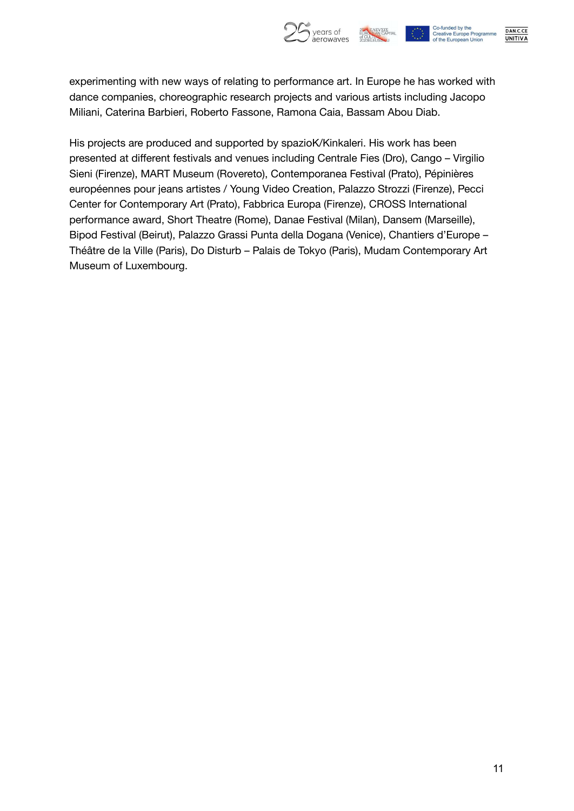

DAN.C.CE

**UNITIVA** 

experimenting with new ways of relating to performance art. In Europe he has worked with dance companies, choreographic research projects and various artists including Jacopo Miliani, Caterina Barbieri, Roberto Fassone, Ramona Caia, Bassam Abou Diab.

His projects are produced and supported by spazioK/Kinkaleri. His work has been presented at different festivals and venues including Centrale Fies (Dro), Cango – Virgilio Sieni (Firenze), MART Museum (Rovereto), Contemporanea Festival (Prato), Pépinières européennes pour jeans artistes / Young Video Creation, Palazzo Strozzi (Firenze), Pecci Center for Contemporary Art (Prato), Fabbrica Europa (Firenze), CROSS International performance award, Short Theatre (Rome), Danae Festival (Milan), Dansem (Marseille), Bipod Festival (Beirut), Palazzo Grassi Punta della Dogana (Venice), Chantiers d'Europe – Théâtre de la Ville (Paris), Do Disturb – Palais de Tokyo (Paris), Mudam Contemporary Art Museum of Luxembourg.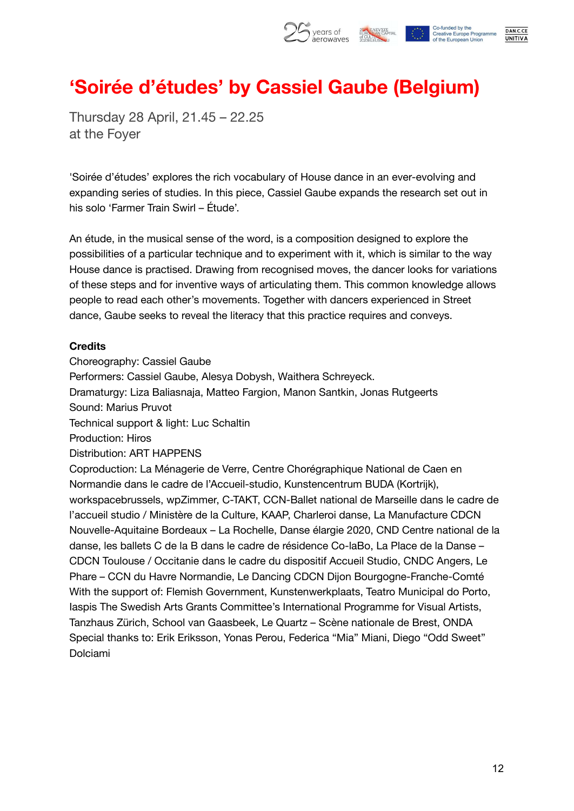

## **'Soirée d'études' by Cassiel Gaube (Belgium)**

Thursday 28 April, 21.45 – 22.25 at the Foyer

'Soirée d'études' explores the rich vocabulary of House dance in an ever-evolving and expanding series of studies. In this piece, Cassiel Gaube expands the research set out in his solo 'Farmer Train Swirl – Étude'.

An étude, in the musical sense of the word, is a composition designed to explore the possibilities of a particular technique and to experiment with it, which is similar to the way House dance is practised. Drawing from recognised moves, the dancer looks for variations of these steps and for inventive ways of articulating them. This common knowledge allows people to read each other's movements. Together with dancers experienced in Street dance, Gaube seeks to reveal the literacy that this practice requires and conveys.

#### **Credits**

Choreography: Cassiel Gaube Performers: Cassiel Gaube, Alesya Dobysh, Waithera Schreyeck. Dramaturgy: Liza Baliasnaja, Matteo Fargion, Manon Santkin, Jonas Rutgeerts Sound: Marius Pruvot Technical support & light: Luc Schaltin Production: Hiros Distribution: ART HAPPENS Coproduction: La Ménagerie de Verre, Centre Chorégraphique National de Caen en Normandie dans le cadre de l'Accueil-studio, Kunstencentrum BUDA (Kortrijk), workspacebrussels, wpZimmer, C-TAKT, CCN-Ballet national de Marseille dans le cadre de l'accueil studio / Ministère de la Culture, KAAP, Charleroi danse, La Manufacture CDCN Nouvelle-Aquitaine Bordeaux – La Rochelle, Danse élargie 2020, CND Centre national de la danse, les ballets C de la B dans le cadre de résidence Co-laBo, La Place de la Danse – CDCN Toulouse / Occitanie dans le cadre du dispositif Accueil Studio, CNDC Angers, Le Phare – CCN du Havre Normandie, Le Dancing CDCN Dijon Bourgogne-Franche-Comté With the support of: Flemish Government, Kunstenwerkplaats, Teatro Municipal do Porto, Iaspis The Swedish Arts Grants Committee's International Programme for Visual Artists, Tanzhaus Zürich, School van Gaasbeek, Le Quartz – Scène nationale de Brest, ONDA Special thanks to: Erik Eriksson, Yonas Perou, Federica "Mia" Miani, Diego "Odd Sweet" Dolciami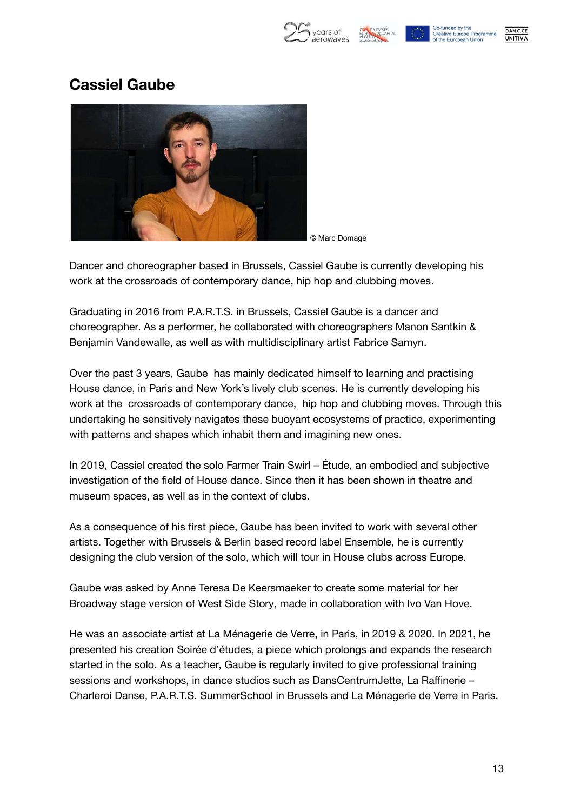



Co-funded by the **Creative Europe Programme** of the European Union



### **Cassiel Gaube**



© Marc Domage

Dancer and choreographer based in Brussels, Cassiel Gaube is currently developing his work at the crossroads of contemporary dance, hip hop and clubbing moves.

Graduating in 2016 from P.A.R.T.S. in Brussels, Cassiel Gaube is a dancer and choreographer. As a performer, he collaborated with choreographers Manon Santkin & Benjamin Vandewalle, as well as with multidisciplinary artist Fabrice Samyn.

Over the past 3 years, Gaube has mainly dedicated himself to learning and practising House dance, in Paris and New York's lively club scenes. He is currently developing his work at the crossroads of contemporary dance, hip hop and clubbing moves. Through this undertaking he sensitively navigates these buoyant ecosystems of practice, experimenting with patterns and shapes which inhabit them and imagining new ones.

In 2019, Cassiel created the solo Farmer Train Swirl – Étude, an embodied and subjective investigation of the field of House dance. Since then it has been shown in theatre and museum spaces, as well as in the context of clubs.

As a consequence of his first piece, Gaube has been invited to work with several other artists. Together with Brussels & Berlin based record label Ensemble, he is currently designing the club version of the solo, which will tour in House clubs across Europe.

Gaube was asked by Anne Teresa De Keersmaeker to create some material for her Broadway stage version of West Side Story, made in collaboration with Ivo Van Hove.

He was an associate artist at La Ménagerie de Verre, in Paris, in 2019 & 2020. In 2021, he presented his creation Soirée d'études, a piece which prolongs and expands the research started in the solo. As a teacher, Gaube is regularly invited to give professional training sessions and workshops, in dance studios such as DansCentrumJette, La Raffinerie – Charleroi Danse, P.A.R.T.S. SummerSchool in Brussels and La Ménagerie de Verre in Paris.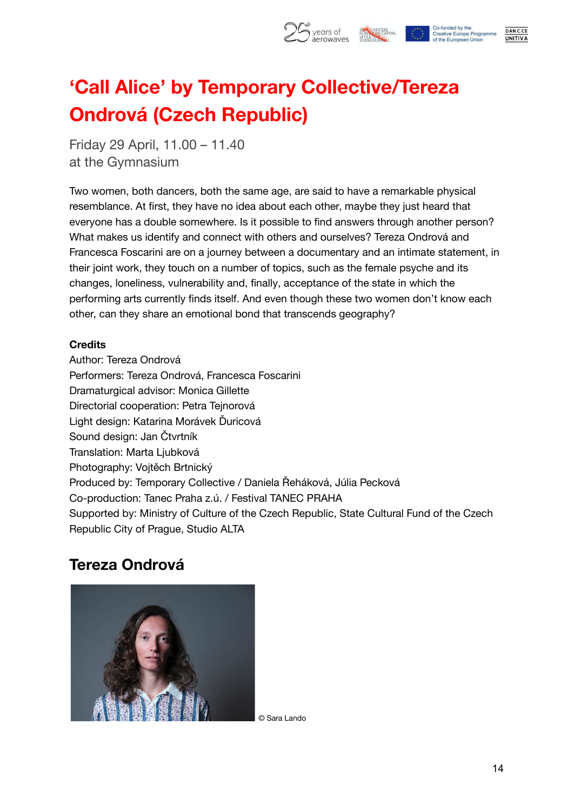

## **'Call Alice' by Temporary Collective/Tereza Ondrová (Czech Republic)**

Friday 29 April, 11.00 – 11.40 at the Gymnasium

Two women, both dancers, both the same age, are said to have a remarkable physical resemblance. At first, they have no idea about each other, maybe they just heard that everyone has a double somewhere. Is it possible to find answers through another person? What makes us identify and connect with others and ourselves? Tereza Ondrová and Francesca Foscarini are on a journey between a documentary and an intimate statement, in their joint work, they touch on a number of topics, such as the female psyche and its changes, loneliness, vulnerability and, finally, acceptance of the state in which the performing arts currently finds itself. And even though these two women don't know each other, can they share an emotional bond that transcends geography?

#### **Credits**

Author: Tereza Ondrová Performers: Tereza Ondrová, Francesca Foscarini Dramaturgical advisor: Monica Gillette Directorial cooperation: Petra Tejnorová Light design: Katarina Morávek Ďuricová Sound design: Jan Čtvrtník Translation: Marta Ljubková Photography: Vojtěch Brtnický Produced by: Temporary Collective / Daniela Řeháková, Júlia Pecková Co-production: Tanec Praha z.ú. / Festival TANEC PRAHA Supported by: Ministry of Culture of the Czech Republic, State Cultural Fund of the Czech Republic City of Prague, Studio ALTA

### **Tereza Ondrová**



© Sara Lando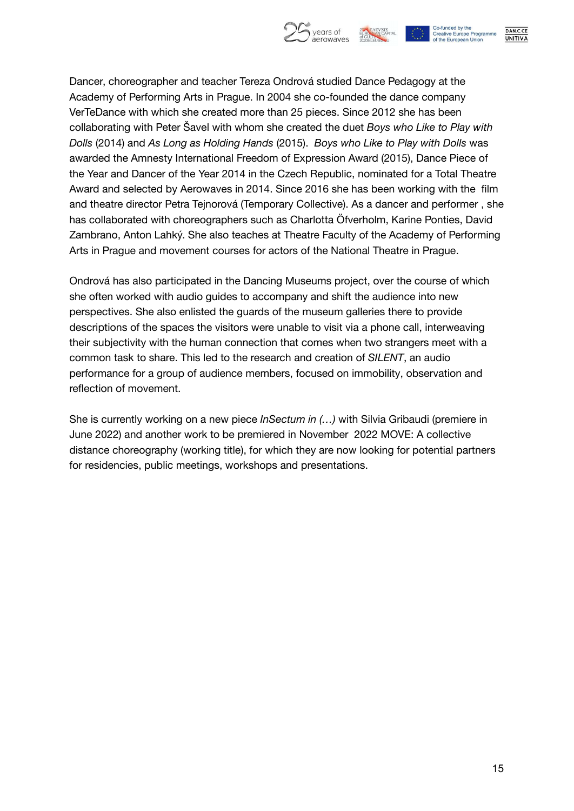

Co-funded by the **Creative Europe Programme** of the European Union

DAN.C.CE **UNITIVA** 

Dancer, choreographer and teacher Tereza Ondrová studied Dance Pedagogy at the Academy of Performing Arts in Prague. In 2004 she co-founded the dance company VerTeDance with which she created more than 25 pieces. Since 2012 she has been collaborating with Peter Šavel with whom she created the duet *Boys who Like to Play with Dolls* (2014) and *As Long as Holding Hands* (2015). *Boys who Like to Play with Dolls* was awarded the Amnesty International Freedom of Expression Award (2015), Dance Piece of the Year and Dancer of the Year 2014 in the Czech Republic, nominated for a Total Theatre Award and selected by Aerowaves in 2014. Since 2016 she has been working with the film and theatre director Petra Tejnorová (Temporary Collective). As a dancer and performer , she has collaborated with choreographers such as Charlotta Öfverholm, Karine Ponties, David Zambrano, Anton Lahký. She also teaches at Theatre Faculty of the Academy of Performing Arts in Prague and movement courses for actors of the National Theatre in Prague.

Ondrová has also participated in the Dancing Museums project, over the course of which she often worked with audio guides to accompany and shift the audience into new perspectives. She also enlisted the guards of the museum galleries there to provide descriptions of the spaces the visitors were unable to visit via a phone call, interweaving their subjectivity with the human connection that comes when two strangers meet with a common task to share. This led to the research and creation of *SILENT*, an audio performance for a group of audience members, focused on immobility, observation and reflection of movement.

She is currently working on a new piece *InSectum in (…)* with Silvia Gribaudi (premiere in June 2022) and another work to be premiered in November 2022 MOVE: A collective distance choreography (working title), for which they are now looking for potential partners for residencies, public meetings, workshops and presentations.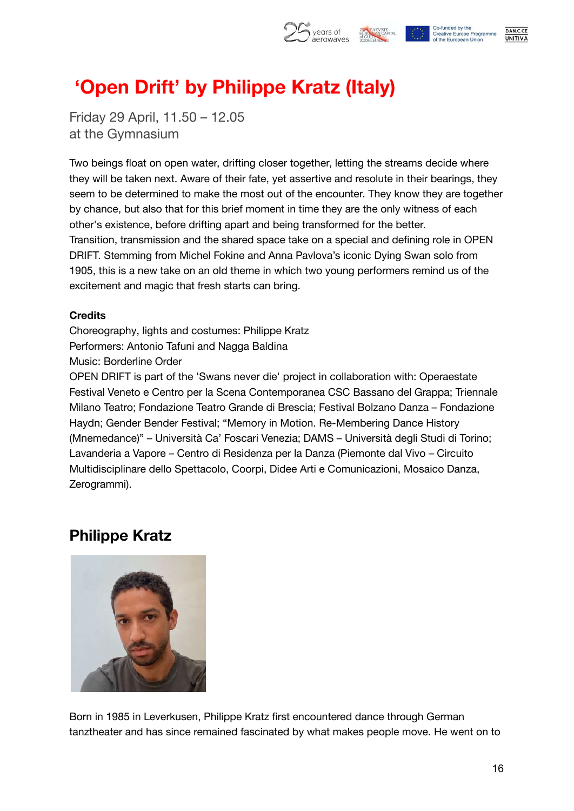

DAN.C.CE

**UNITIVA** 

## **'Open Drift' by Philippe Kratz (Italy)**

Friday 29 April, 11.50 – 12.05 at the Gymnasium

Two beings float on open water, drifting closer together, letting the streams decide where they will be taken next. Aware of their fate, yet assertive and resolute in their bearings, they seem to be determined to make the most out of the encounter. They know they are together by chance, but also that for this brief moment in time they are the only witness of each other's existence, before drifting apart and being transformed for the better. Transition, transmission and the shared space take on a special and defining role in OPEN DRIFT. Stemming from Michel Fokine and Anna Pavlova's iconic Dying Swan solo from 1905, this is a new take on an old theme in which two young performers remind us of the excitement and magic that fresh starts can bring.

#### **Credits**

Choreography, lights and costumes: Philippe Kratz Performers: Antonio Tafuni and Nagga Baldina Music: Borderline Order

OPEN DRIFT is part of the 'Swans never die' project in collaboration with: Operaestate Festival Veneto e Centro per la Scena Contemporanea CSC Bassano del Grappa; Triennale Milano Teatro; Fondazione Teatro Grande di Brescia; Festival Bolzano Danza – Fondazione Haydn; Gender Bender Festival; "Memory in Motion. Re-Membering Dance History (Mnemedance)" – Università Ca' Foscari Venezia; DAMS – Università degli Studi di Torino; Lavanderia a Vapore – Centro di Residenza per la Danza (Piemonte dal Vivo – Circuito Multidisciplinare dello Spettacolo, Coorpi, Didee Arti e Comunicazioni, Mosaico Danza, Zerogrammi).

### **Philippe Kratz**



Born in 1985 in Leverkusen, Philippe Kratz first encountered dance through German tanztheater and has since remained fascinated by what makes people move. He went on to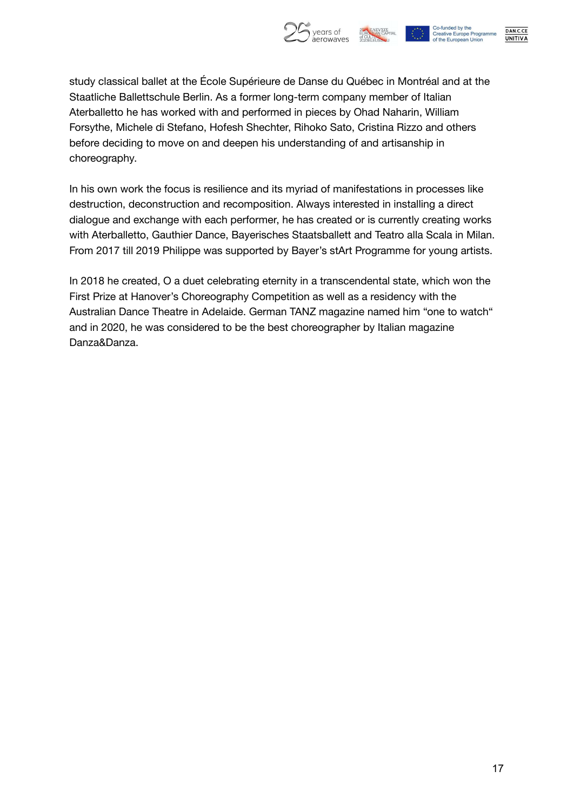

DAN.C.CE **UNITIVA** 

study classical ballet at the École Supérieure de Danse du Québec in Montréal and at the Staatliche Ballettschule Berlin. As a former long-term company member of Italian Aterballetto he has worked with and performed in pieces by Ohad Naharin, William Forsythe, Michele di Stefano, Hofesh Shechter, Rihoko Sato, Cristina Rizzo and others before deciding to move on and deepen his understanding of and artisanship in choreography.

In his own work the focus is resilience and its myriad of manifestations in processes like destruction, deconstruction and recomposition. Always interested in installing a direct dialogue and exchange with each performer, he has created or is currently creating works with Aterballetto, Gauthier Dance, Bayerisches Staatsballett and Teatro alla Scala in Milan. From 2017 till 2019 Philippe was supported by Bayer's stArt Programme for young artists.

In 2018 he created, O a duet celebrating eternity in a transcendental state, which won the First Prize at Hanover's Choreography Competition as well as a residency with the Australian Dance Theatre in Adelaide. German TANZ magazine named him "one to watch" and in 2020, he was considered to be the best choreographer by Italian magazine Danza&Danza.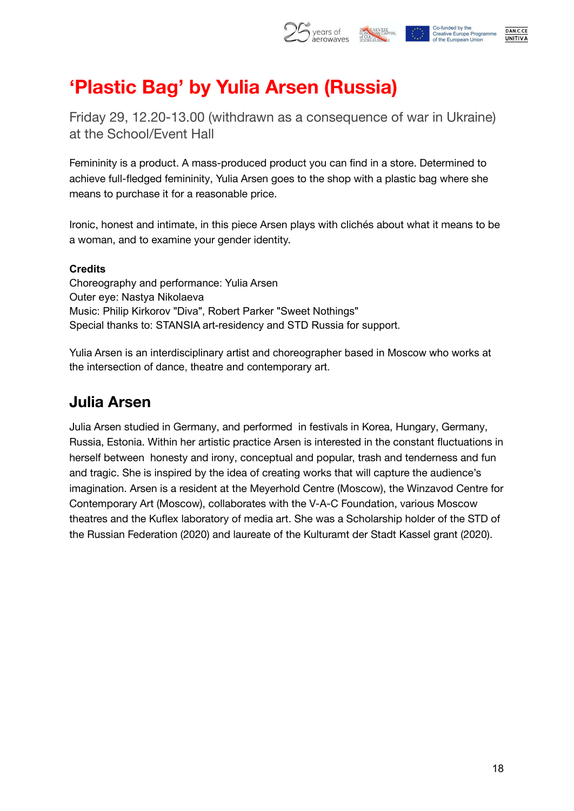

## **'Plastic Bag' by Yulia Arsen (Russia)**

Friday 29, 12.20-13.00 (withdrawn as a consequence of war in Ukraine) at the School/Event Hall

Femininity is a product. A mass-produced product you can find in a store. Determined to achieve full-fledged femininity, Yulia Arsen goes to the shop with a plastic bag where she means to purchase it for a reasonable price.

Ironic, honest and intimate, in this piece Arsen plays with clichés about what it means to be a woman, and to examine your gender identity.

#### **Credits**

Choreography and performance: Yulia Arsen Outer eye: Nastya Nikolaeva Music: Philip Kirkorov "Diva", Robert Parker "Sweet Nothings" Special thanks to: STANSIA art-residency and STD Russia for support.

Yulia Arsen is an interdisciplinary artist and choreographer based in Moscow who works at the intersection of dance, theatre and contemporary art.

### **Julia Arsen**

Julia Arsen studied in Germany, and performed in festivals in Korea, Hungary, Germany, Russia, Estonia. Within her artistic practice Arsen is interested in the constant fluctuations in herself between honesty and irony, conceptual and popular, trash and tenderness and fun and tragic. She is inspired by the idea of creating works that will capture the audience's imagination. Arsen is a resident at the Meyerhold Centre (Moscow), the Winzavod Centre for Contemporary Art (Moscow), collaborates with the V-A-C Foundation, various Moscow theatres and the Kuflex laboratory of media art. She was a Scholarship holder of the STD of the Russian Federation (2020) and laureate of the Kulturamt der Stadt Kassel grant (2020).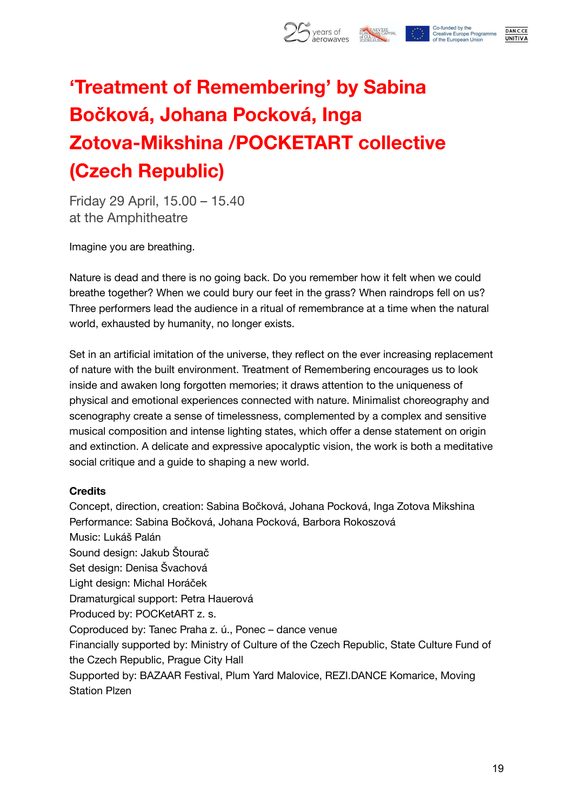

## **'Treatment of Remembering' by Sabina Bočková, Johana Pocková, Inga Zotova-Mikshina /POCKETART collective (Czech Republic)**

Friday 29 April, 15.00 – 15.40 at the Amphitheatre

Imagine you are breathing.

Nature is dead and there is no going back. Do you remember how it felt when we could breathe together? When we could bury our feet in the grass? When raindrops fell on us? Three performers lead the audience in a ritual of remembrance at a time when the natural world, exhausted by humanity, no longer exists.

Set in an artificial imitation of the universe, they reflect on the ever increasing replacement of nature with the built environment. Treatment of Remembering encourages us to look inside and awaken long forgotten memories; it draws attention to the uniqueness of physical and emotional experiences connected with nature. Minimalist choreography and scenography create a sense of timelessness, complemented by a complex and sensitive musical composition and intense lighting states, which offer a dense statement on origin and extinction. A delicate and expressive apocalyptic vision, the work is both a meditative social critique and a guide to shaping a new world.

#### **Credits**

Concept, direction, creation: Sabina Bočková, Johana Pocková, Inga Zotova Mikshina Performance: Sabina Bočková, Johana Pocková, Barbora Rokoszová Music: Lukáš Palán Sound design: Jakub Štourač Set design: Denisa Švachová Light design: Michal Horáček Dramaturgical support: Petra Hauerová Produced by: POCKetART z. s. Coproduced by: Tanec Praha z. ú., Ponec – dance venue Financially supported by: Ministry of Culture of the Czech Republic, State Culture Fund of the Czech Republic, Prague City Hall Supported by: BAZAAR Festival, Plum Yard Malovice, REZI.DANCE Komarice, Moving Station Plzen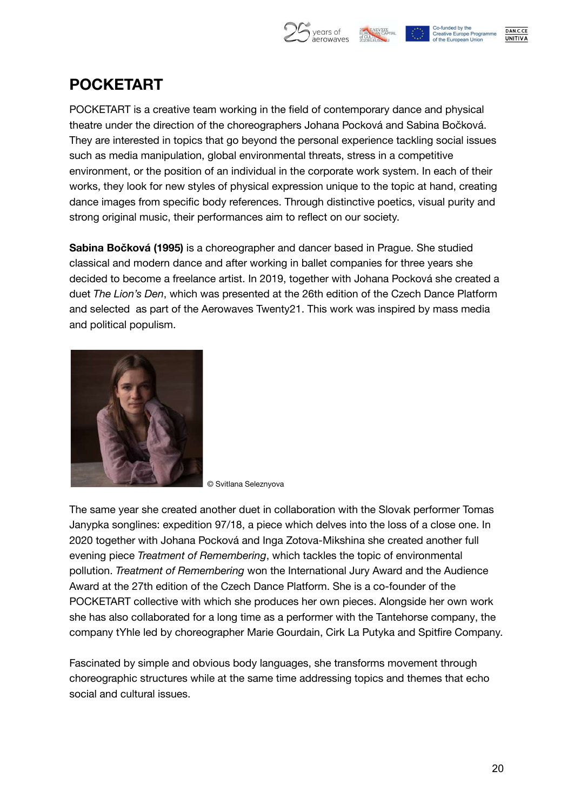

### **POCKETART**

POCKETART is a creative team working in the field of contemporary dance and physical theatre under the direction of the choreographers Johana Pocková and Sabina Bočková. They are interested in topics that go beyond the personal experience tackling social issues such as media manipulation, global environmental threats, stress in a competitive environment, or the position of an individual in the corporate work system. In each of their works, they look for new styles of physical expression unique to the topic at hand, creating dance images from specific body references. Through distinctive poetics, visual purity and strong original music, their performances aim to reflect on our society.

**Sabina Bočková (1995)** is a choreographer and dancer based in Prague. She studied classical and modern dance and after working in ballet companies for three years she decided to become a freelance artist. In 2019, together with Johana Pocková she created a duet *The Lion's Den*, which was presented at the 26th edition of the Czech Dance Platform and selected as part of the Aerowaves Twenty21. This work was inspired by mass media and political populism.



© Svitlana Seleznyova

The same year she created another duet in collaboration with the Slovak performer Tomas Janypka songlines: expedition 97/18, a piece which delves into the loss of a close one. In 2020 together with Johana Pocková and Inga Zotova-Mikshina she created another full evening piece *Treatment of Remembering*, which tackles the topic of environmental pollution. *Treatment of Remembering* won the International Jury Award and the Audience Award at the 27th edition of the Czech Dance Platform. She is a co-founder of the POCKETART collective with which she produces her own pieces. Alongside her own work she has also collaborated for a long time as a performer with the Tantehorse company, the company tYhle led by choreographer Marie Gourdain, Cirk La Putyka and Spitfire Company.

Fascinated by simple and obvious body languages, she transforms movement through choreographic structures while at the same time addressing topics and themes that echo social and cultural issues.





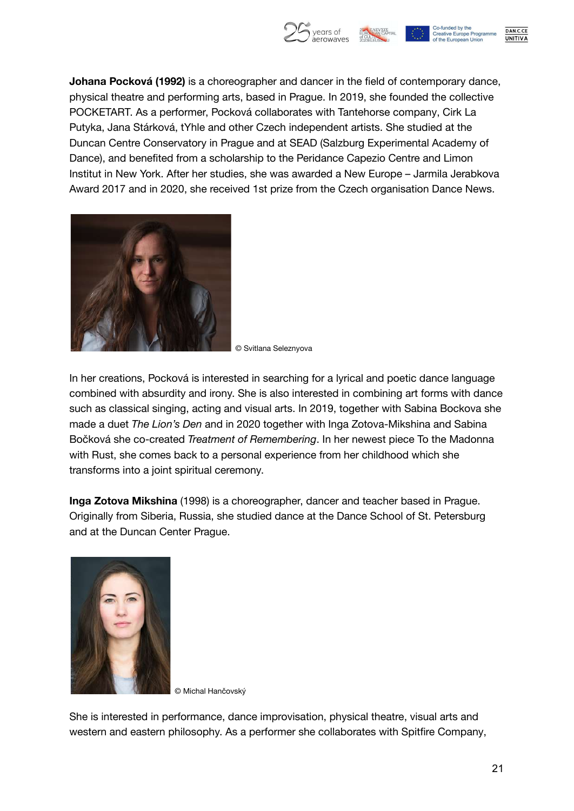

**Johana Pocková (1992)** is a choreographer and dancer in the field of contemporary dance, physical theatre and performing arts, based in Prague. In 2019, she founded the collective POCKETART. As a performer, Pocková collaborates with Tantehorse company, Cirk La Putyka, Jana Stárková, tYhle and other Czech independent artists. She studied at the Duncan Centre Conservatory in Prague and at SEAD (Salzburg Experimental Academy of Dance), and benefited from a scholarship to the Peridance Capezio Centre and Limon Institut in New York. After her studies, she was awarded a New Europe – Jarmila Jerabkova Award 2017 and in 2020, she received 1st prize from the Czech organisation Dance News.



© Svitlana Seleznyova

In her creations, Pocková is interested in searching for a lyrical and poetic dance language combined with absurdity and irony. She is also interested in combining art forms with dance such as classical singing, acting and visual arts. In 2019, together with Sabina Bockova she made a duet *The Lion's Den* and in 2020 together with Inga Zotova-Mikshina and Sabina Bočková she co-created *Treatment of Remembering*. In her newest piece To the Madonna with Rust, she comes back to a personal experience from her childhood which she transforms into a joint spiritual ceremony.

**Inga Zotova Mikshina** (1998) is a choreographer, dancer and teacher based in Prague. Originally from Siberia, Russia, she studied dance at the Dance School of St. Petersburg and at the Duncan Center Prague.



© Michal Hančovský

She is interested in performance, dance improvisation, physical theatre, visual arts and western and eastern philosophy. As a performer she collaborates with Spitfire Company,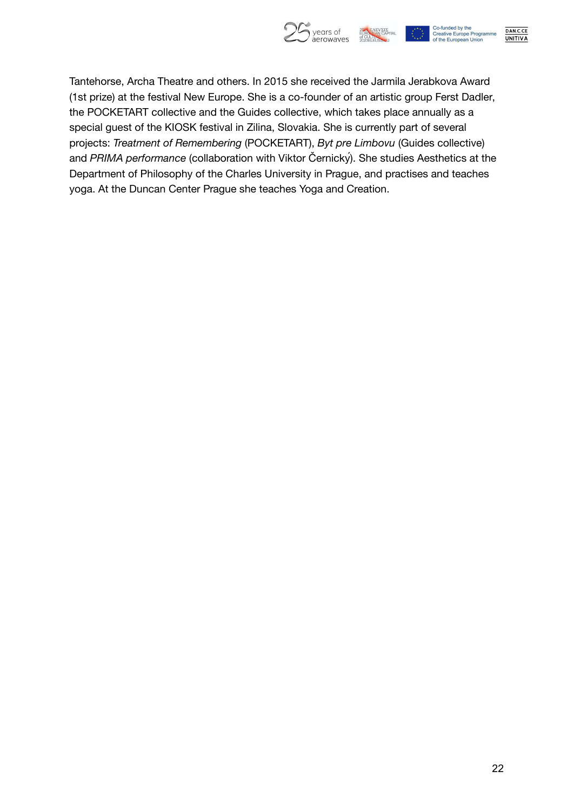

DAN.C.CE **UNITIVA** 

Tantehorse, Archa Theatre and others. In 2015 she received the Jarmila Jerabkova Award (1st prize) at the festival New Europe. She is a co-founder of an artistic group Ferst Dadler, the POCKETART collective and the Guides collective, which takes place annually as a special guest of the KIOSK festival in Zilina, Slovakia. She is currently part of several projects: *Treatment of Remembering* (POCKETART), *Byt pre Limbovu* (Guides collective) and *PRIMA performance* (collaboration with Viktor Černický). She studies Aesthetics at the Department of Philosophy of the Charles University in Prague, and practises and teaches yoga. At the Duncan Center Prague she teaches Yoga and Creation.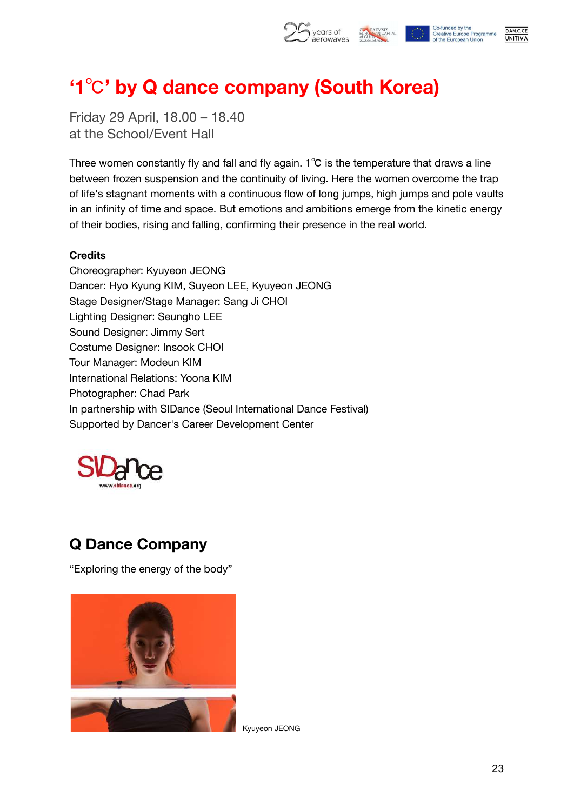

## **'1**℃**' by Q dance company (South Korea)**

Friday 29 April, 18.00 – 18.40 at the School/Event Hall

Three women constantly fly and fall and fly again. 1℃ is the temperature that draws a line between frozen suspension and the continuity of living. Here the women overcome the trap of life's stagnant moments with a continuous flow of long jumps, high jumps and pole vaults in an infinity of time and space. But emotions and ambitions emerge from the kinetic energy of their bodies, rising and falling, confirming their presence in the real world.

#### **Credits**

Choreographer: Kyuyeon JEONG Dancer: Hyo Kyung KIM, Suyeon LEE, Kyuyeon JEONG Stage Designer/Stage Manager: Sang Ji CHOI Lighting Designer: Seungho LEE Sound Designer: Jimmy Sert Costume Designer: Insook CHOI Tour Manager: Modeun KIM International Relations: Yoona KIM Photographer: Chad Park In partnership with SIDance (Seoul International Dance Festival) Supported by Dancer's Career Development Center



### **Q Dance Company**

"Exploring the energy of the body"



Kyuyeon JEONG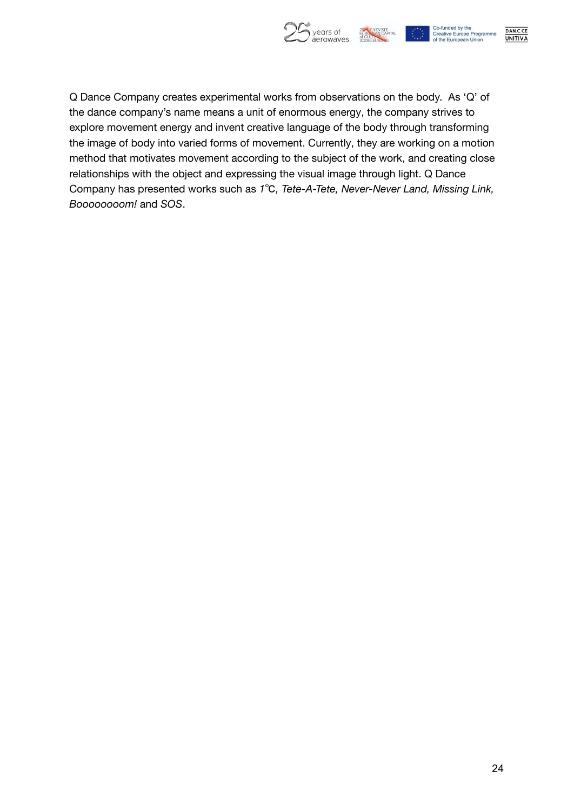

DAN.C.CE **UNITIVA** 

Q Dance Company creates experimental works from observations on the body. As 'Q' of the dance company's name means a unit of enormous energy, the company strives to explore movement energy and invent creative language of the body through transforming the image of body into varied forms of movement. Currently, they are working on a motion method that motivates movement according to the subject of the work, and creating close relationships with the object and expressing the visual image through light. Q Dance Company has presented works such as *1*℃*, Tete-A-Tete, Never-Never Land, Missing Link, Boooooooom!* and *SOS*.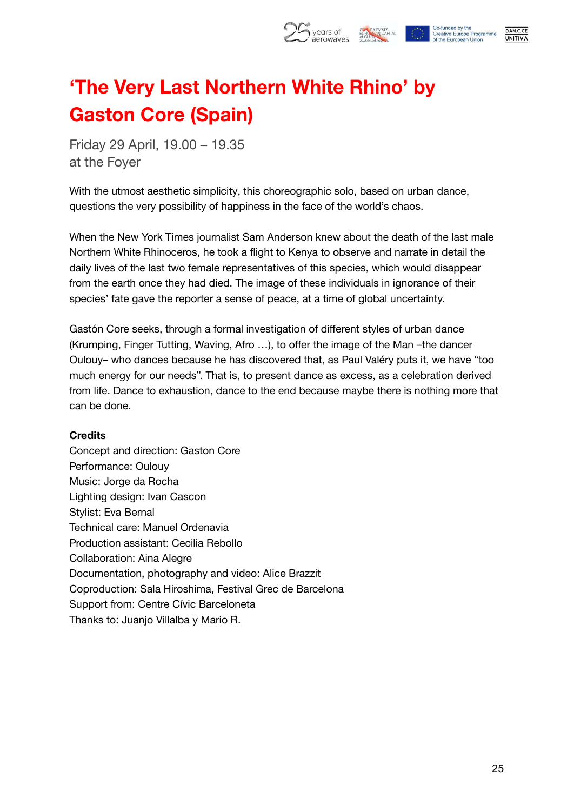

## **'The Very Last Northern White Rhino' by Gaston Core (Spain)**

Friday 29 April, 19.00 – 19.35 at the Foyer

With the utmost aesthetic simplicity, this choreographic solo, based on urban dance, questions the very possibility of happiness in the face of the world's chaos.

When the New York Times journalist Sam Anderson knew about the death of the last male Northern White Rhinoceros, he took a flight to Kenya to observe and narrate in detail the daily lives of the last two female representatives of this species, which would disappear from the earth once they had died. The image of these individuals in ignorance of their species' fate gave the reporter a sense of peace, at a time of global uncertainty.

Gastón Core seeks, through a formal investigation of different styles of urban dance (Krumping, Finger Tutting, Waving, Afro …), to offer the image of the Man –the dancer Oulouy– who dances because he has discovered that, as Paul Valéry puts it, we have "too much energy for our needs". That is, to present dance as excess, as a celebration derived from life. Dance to exhaustion, dance to the end because maybe there is nothing more that can be done.

#### **Credits**

Concept and direction: Gaston Core Performance: Oulouy Music: Jorge da Rocha Lighting design: Ivan Cascon Stylist: Eva Bernal Technical care: Manuel Ordenavia Production assistant: Cecilia Rebollo Collaboration: Aina Alegre Documentation, photography and video: Alice Brazzit Coproduction: Sala Hiroshima, Festival Grec de Barcelona Support from: Centre Cívic Barceloneta Thanks to: Juanjo Villalba y Mario R.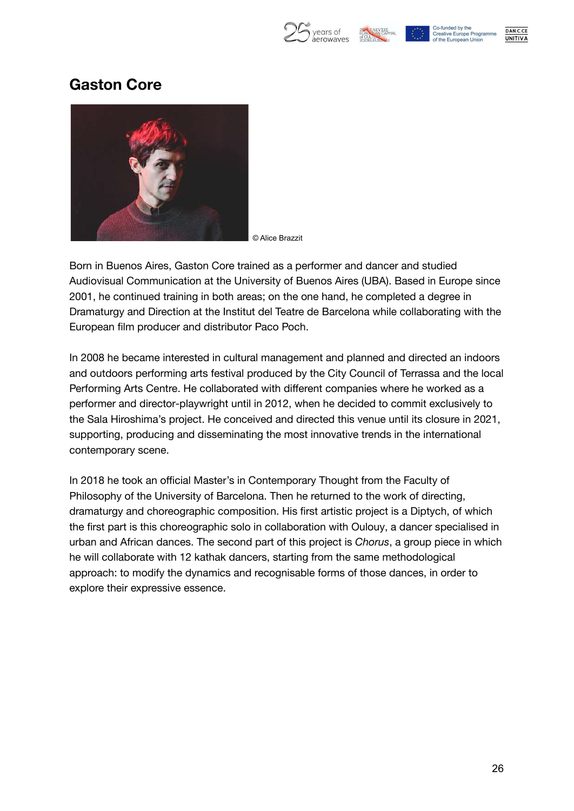



### **Gaston Core**



© Alice Brazzit

Born in Buenos Aires, Gaston Core trained as a performer and dancer and studied Audiovisual Communication at the University of Buenos Aires (UBA). Based in Europe since 2001, he continued training in both areas; on the one hand, he completed a degree in Dramaturgy and Direction at the Institut del Teatre de Barcelona while collaborating with the European film producer and distributor Paco Poch.

In 2008 he became interested in cultural management and planned and directed an indoors and outdoors performing arts festival produced by the City Council of Terrassa and the local Performing Arts Centre. He collaborated with different companies where he worked as a performer and director-playwright until in 2012, when he decided to commit exclusively to the Sala Hiroshima's project. He conceived and directed this venue until its closure in 2021, supporting, producing and disseminating the most innovative trends in the international contemporary scene.

In 2018 he took an official Master's in Contemporary Thought from the Faculty of Philosophy of the University of Barcelona. Then he returned to the work of directing, dramaturgy and choreographic composition. His first artistic project is a Diptych, of which the first part is this choreographic solo in collaboration with Oulouy, a dancer specialised in urban and African dances. The second part of this project is *Chorus*, a group piece in which he will collaborate with 12 kathak dancers, starting from the same methodological approach: to modify the dynamics and recognisable forms of those dances, in order to explore their expressive essence.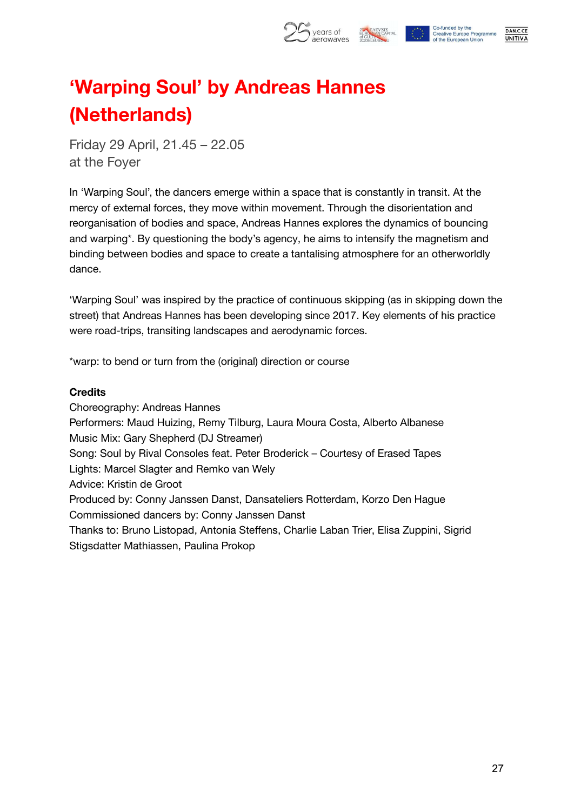

DAN.C.CE

**UNITIVA** 

## **'Warping Soul' by Andreas Hannes (Netherlands)**

Friday 29 April, 21.45 – 22.05 at the Foyer

In 'Warping Soul', the dancers emerge within a space that is constantly in transit. At the mercy of external forces, they move within movement. Through the disorientation and reorganisation of bodies and space, Andreas Hannes explores the dynamics of bouncing and warping\*. By questioning the body's agency, he aims to intensify the magnetism and binding between bodies and space to create a tantalising atmosphere for an otherworldly dance.

'Warping Soul' was inspired by the practice of continuous skipping (as in skipping down the street) that Andreas Hannes has been developing since 2017. Key elements of his practice were road-trips, transiting landscapes and aerodynamic forces.

\*warp: to bend or turn from the (original) direction or course

#### **Credits**

Choreography: Andreas Hannes Performers: Maud Huizing, Remy Tilburg, Laura Moura Costa, Alberto Albanese Music Mix: Gary Shepherd (DJ Streamer) Song: Soul by Rival Consoles feat. Peter Broderick – Courtesy of Erased Tapes Lights: Marcel Slagter and Remko van Wely Advice: Kristin de Groot Produced by: Conny Janssen Danst, Dansateliers Rotterdam, Korzo Den Hague Commissioned dancers by: Conny Janssen Danst Thanks to: Bruno Listopad, Antonia Steffens, Charlie Laban Trier, Elisa Zuppini, Sigrid Stigsdatter Mathiassen, Paulina Prokop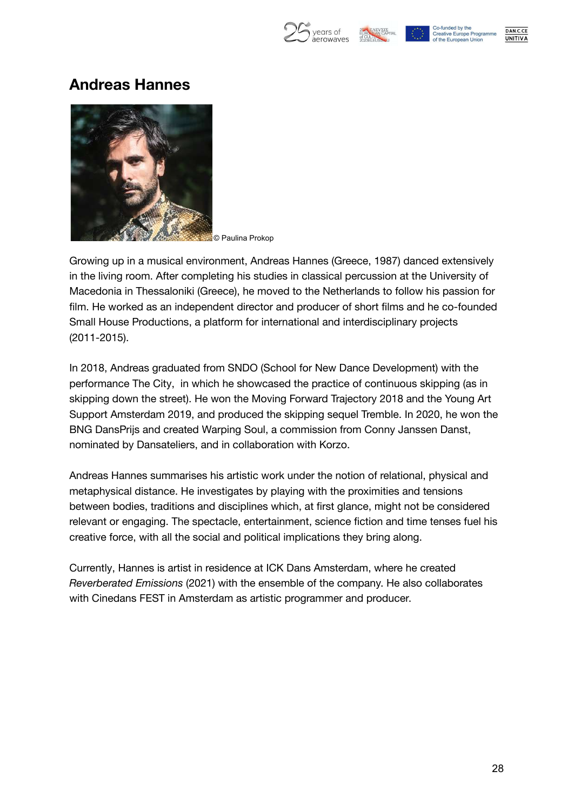

Co-funded by the **Creative Europe Programme** of the European Union

DAN.C.CE **UNITIVA** 

### **Andreas Hannes**



© Paulina Prokop

Growing up in a musical environment, Andreas Hannes (Greece, 1987) danced extensively in the living room. After completing his studies in classical percussion at the University of Macedonia in Thessaloniki (Greece), he moved to the Netherlands to follow his passion for film. He worked as an independent director and producer of short films and he co-founded Small House Productions, a platform for international and interdisciplinary projects (2011-2015).

In 2018, Andreas graduated from SNDO (School for New Dance Development) with the performance The City, in which he showcased the practice of continuous skipping (as in skipping down the street). He won the Moving Forward Trajectory 2018 and the Young Art Support Amsterdam 2019, and produced the skipping sequel Tremble. In 2020, he won the BNG DansPrijs and created Warping Soul, a commission from Conny Janssen Danst, nominated by Dansateliers, and in collaboration with Korzo.

Andreas Hannes summarises his artistic work under the notion of relational, physical and metaphysical distance. He investigates by playing with the proximities and tensions between bodies, traditions and disciplines which, at first glance, might not be considered relevant or engaging. The spectacle, entertainment, science fiction and time tenses fuel his creative force, with all the social and political implications they bring along.

Currently, Hannes is artist in residence at ICK Dans Amsterdam, where he created *Reverberated Emissions* (2021) with the ensemble of the company. He also collaborates with Cinedans FEST in Amsterdam as artistic programmer and producer.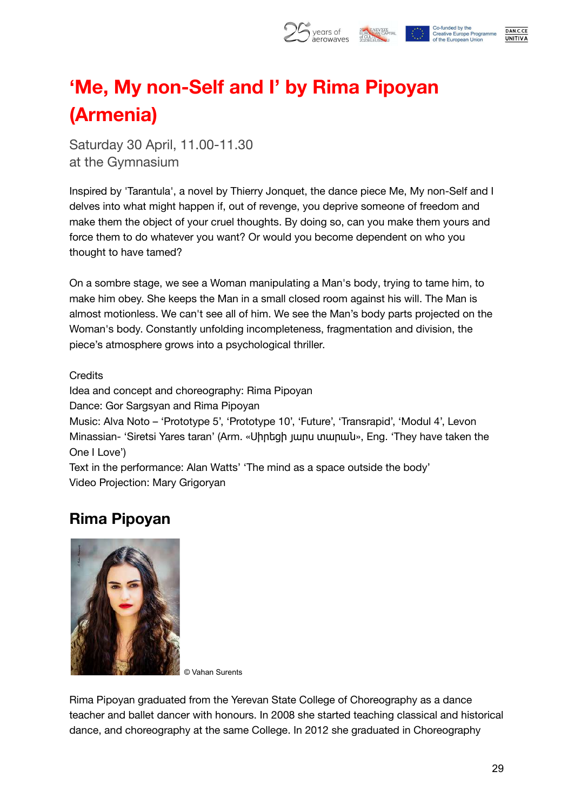

## **'Me, My non-Self and I' by Rima Pipoyan (Armenia)**

Saturday 30 April, 11.00-11.30 at the Gymnasium

Inspired by 'Tarantula', a novel by Thierry Jonquet, the dance piece Me, My non-Self and I delves into what might happen if, out of revenge, you deprive someone of freedom and make them the object of your cruel thoughts. By doing so, can you make them yours and force them to do whatever you want? Or would you become dependent on who you thought to have tamed?

On a sombre stage, we see a Woman manipulating a Man's body, trying to tame him, to make him obey. She keeps the Man in a small closed room against his will. The Man is almost motionless. We can't see all of him. We see the Man's body parts projected on the Woman's body. Constantly unfolding incompleteness, fragmentation and division, the piece's atmosphere grows into a psychological thriller.

**Credits** 

Idea and concept and choreography: Rima Pipoyan

Dance: Gor Sargsyan and Rima Pipoyan

Music: Alva Noto – 'Prototype 5', 'Prototype 10', 'Future', 'Transrapid', 'Modul 4', Levon Minassian- 'Siretsi Yares taran' (Arm. «Սիրեցի յարս տարան», Eng. 'They have taken the One I Love')

Text in the performance: Alan Watts' 'The mind as a space outside the body' Video Projection: Mary Grigoryan

### **Rima Pipoyan**



© Vahan Surents

Rima Pipoyan graduated from the Yerevan State College of Choreography as a dance teacher and ballet dancer with honours. In 2008 she started teaching classical and historical dance, and choreography at the same College. In 2012 she graduated in Choreography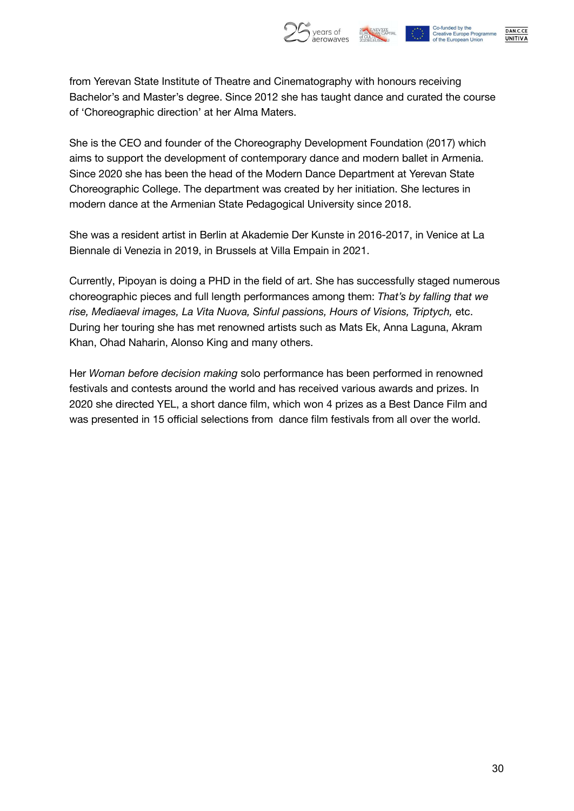

DAN.C.CE

**UNITIVA** 

from Yerevan State Institute of Theatre and Cinematography with honours receiving Bachelor's and Master's degree. Since 2012 she has taught dance and curated the course of 'Choreographic direction' at her Alma Maters.

She is the CEO and founder of the Choreography Development Foundation (2017) which aims to support the development of contemporary dance and modern ballet in Armenia. Since 2020 she has been the head of the Modern Dance Department at Yerevan State Choreographic College. The department was created by her initiation. She lectures in modern dance at the Armenian State Pedagogical University since 2018.

She was a resident artist in Berlin at Akademie Der Kunste in 2016-2017, in Venice at La Biennale di Venezia in 2019, in Brussels at Villa Empain in 2021.

Currently, Pipoyan is doing a PHD in the field of art. She has successfully staged numerous choreographic pieces and full length performances among them: *That's by falling that we rise, Mediaeval images, La Vita Nuova, Sinful passions, Hours of Visions, Triptych,* etc. During her touring she has met renowned artists such as Mats Ek, Anna Laguna, Akram Khan, Ohad Naharin, Alonso King and many others.

Her *Woman before decision making* solo performance has been performed in renowned festivals and contests around the world and has received various awards and prizes. In 2020 she directed YEL, a short dance film, which won 4 prizes as a Best Dance Film and was presented in 15 official selections from dance film festivals from all over the world.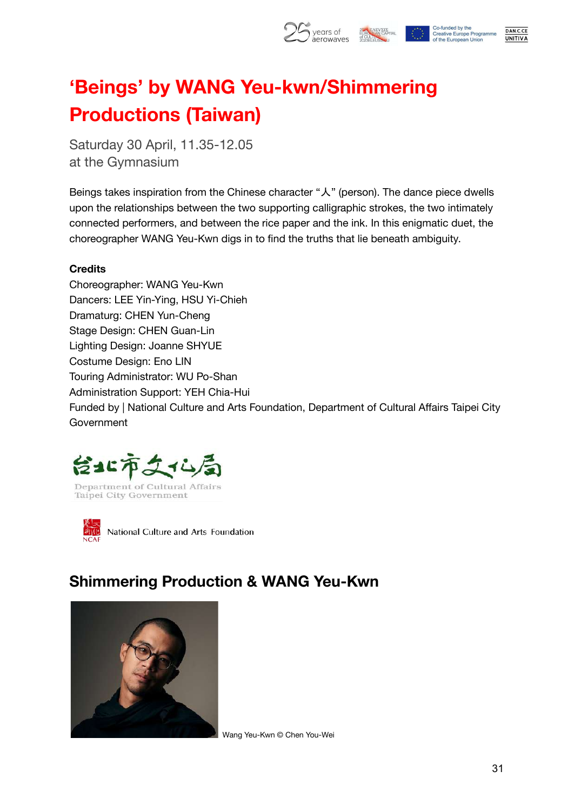

## **'Beings' by WANG Yeu-kwn/Shimmering Productions (Taiwan)**

Saturday 30 April, 11.35-12.05 at the Gymnasium

Beings takes inspiration from the Chinese character "人" (person). The dance piece dwells upon the relationships between the two supporting calligraphic strokes, the two intimately connected performers, and between the rice paper and the ink. In this enigmatic duet, the choreographer WANG Yeu-Kwn digs in to find the truths that lie beneath ambiguity.

#### **Credits**

Choreographer: WANG Yeu-Kwn Dancers: LEE Yin-Ying, HSU Yi-Chieh Dramaturg: CHEN Yun-Cheng Stage Design: CHEN Guan-Lin Lighting Design: Joanne SHYUE Costume Design: Eno LIN Touring Administrator: WU Po-Shan Administration Support: YEH Chia-Hui Funded by | National Culture and Arts Foundation, Department of Cultural Affairs Taipei City **Government** 





National Culture and Arts Foundation

### **Shimmering Production & WANG Yeu-Kwn**



Wang Yeu-Kwn © Chen You-Wei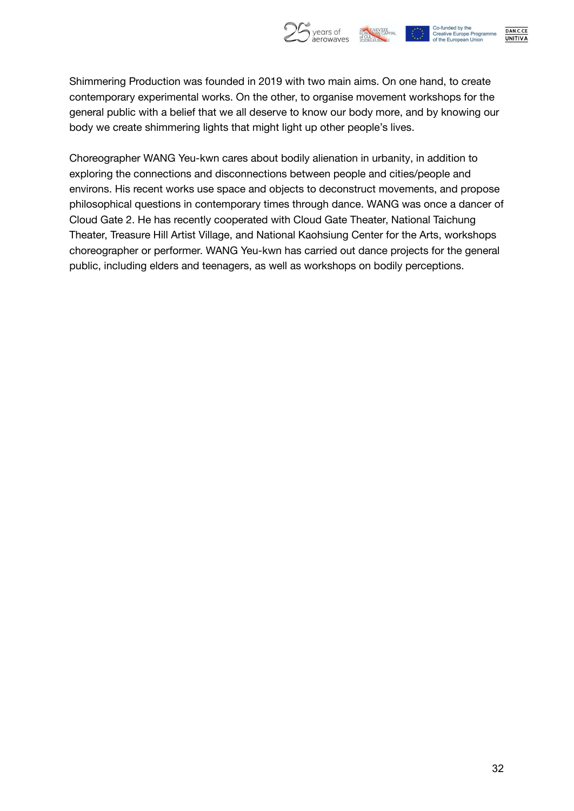

DAN.C.CE **UNITIVA** 

Shimmering Production was founded in 2019 with two main aims. On one hand, to create contemporary experimental works. On the other, to organise movement workshops for the general public with a belief that we all deserve to know our body more, and by knowing our body we create shimmering lights that might light up other people's lives.

Choreographer WANG Yeu-kwn cares about bodily alienation in urbanity, in addition to exploring the connections and disconnections between people and cities/people and environs. His recent works use space and objects to deconstruct movements, and propose philosophical questions in contemporary times through dance. WANG was once a dancer of Cloud Gate 2. He has recently cooperated with Cloud Gate Theater, National Taichung Theater, Treasure Hill Artist Village, and National Kaohsiung Center for the Arts, workshops choreographer or performer. WANG Yeu-kwn has carried out dance projects for the general public, including elders and teenagers, as well as workshops on bodily perceptions.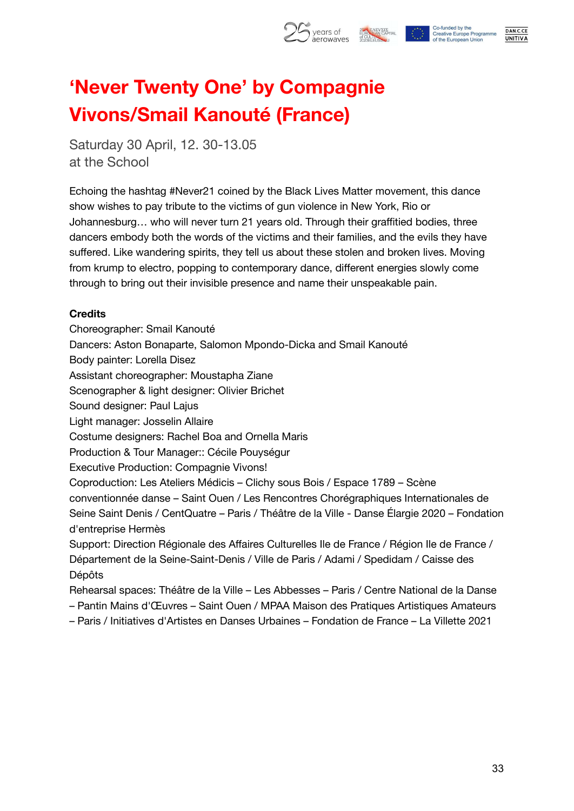

## **'Never Twenty One' by Compagnie Vivons/Smail Kanouté (France)**

Saturday 30 April, 12. 30-13.05 at the School

Echoing the hashtag #Never21 coined by the Black Lives Matter movement, this dance show wishes to pay tribute to the victims of gun violence in New York, Rio or Johannesburg… who will never turn 21 years old. Through their graffitied bodies, three dancers embody both the words of the victims and their families, and the evils they have suffered. Like wandering spirits, they tell us about these stolen and broken lives. Moving from krump to electro, popping to contemporary dance, different energies slowly come through to bring out their invisible presence and name their unspeakable pain.

#### **Credits**

- Choreographer: Smail Kanouté
- Dancers: Aston Bonaparte, Salomon Mpondo-Dicka and Smail Kanouté
- Body painter: Lorella Disez
- Assistant choreographer: Moustapha Ziane
- Scenographer & light designer: Olivier Brichet
- Sound designer: Paul Lajus
- Light manager: Josselin Allaire
- Costume designers: Rachel Boa and Ornella Maris
- Production & Tour Manager:: Cécile Pouységur
- Executive Production: Compagnie Vivons!
- Coproduction: Les Ateliers Médicis Clichy sous Bois / Espace 1789 Scène
- conventionnée danse Saint Ouen / Les Rencontres Chorégraphiques Internationales de Seine Saint Denis / CentQuatre – Paris / Théâtre de la Ville - Danse Élargie 2020 – Fondation d'entreprise Hermès
- Support: Direction Régionale des Affaires Culturelles Ile de France / Région Ile de France / Département de la Seine-Saint-Denis / Ville de Paris / Adami / Spedidam / Caisse des Dépôts
- Rehearsal spaces: Théâtre de la Ville Les Abbesses Paris / Centre National de la Danse – Pantin Mains d'Œuvres – Saint Ouen / MPAA Maison des Pratiques Artistiques Amateurs
- Paris / Initiatives d'Artistes en Danses Urbaines Fondation de France La Villette 2021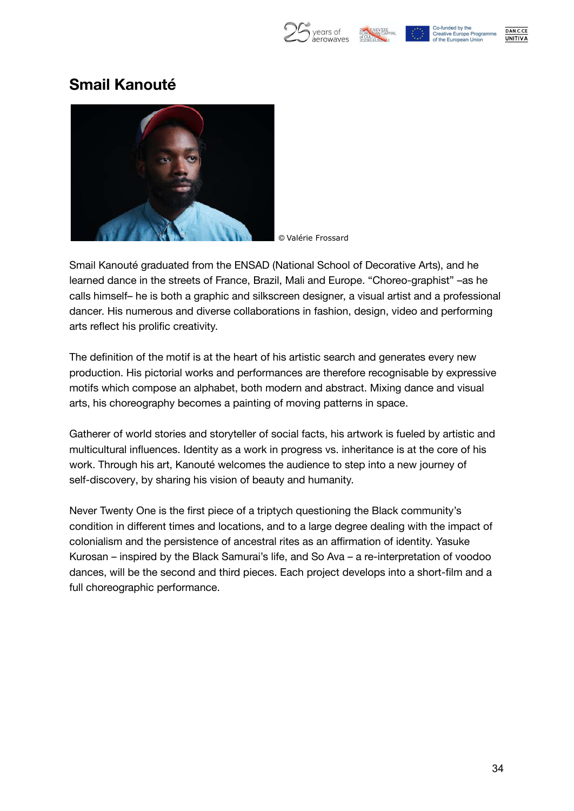

Co-funded by the **Creative Europe Programme** of the European Union



### **Smail Kanouté**



© Valérie Frossard

Smail Kanouté graduated from the ENSAD (National School of Decorative Arts), and he learned dance in the streets of France, Brazil, Mali and Europe. "Choreo-graphist" –as he calls himself– he is both a graphic and silkscreen designer, a visual artist and a professional dancer. His numerous and diverse collaborations in fashion, design, video and performing arts reflect his prolific creativity.

The definition of the motif is at the heart of his artistic search and generates every new production. His pictorial works and performances are therefore recognisable by expressive motifs which compose an alphabet, both modern and abstract. Mixing dance and visual arts, his choreography becomes a painting of moving patterns in space.

Gatherer of world stories and storyteller of social facts, his artwork is fueled by artistic and multicultural influences. Identity as a work in progress vs. inheritance is at the core of his work. Through his art, Kanouté welcomes the audience to step into a new journey of self-discovery, by sharing his vision of beauty and humanity.

Never Twenty One is the first piece of a triptych questioning the Black community's condition in different times and locations, and to a large degree dealing with the impact of colonialism and the persistence of ancestral rites as an affirmation of identity. Yasuke Kurosan – inspired by the Black Samurai's life, and So Ava – a re-interpretation of voodoo dances, will be the second and third pieces. Each project develops into a short-film and a full choreographic performance.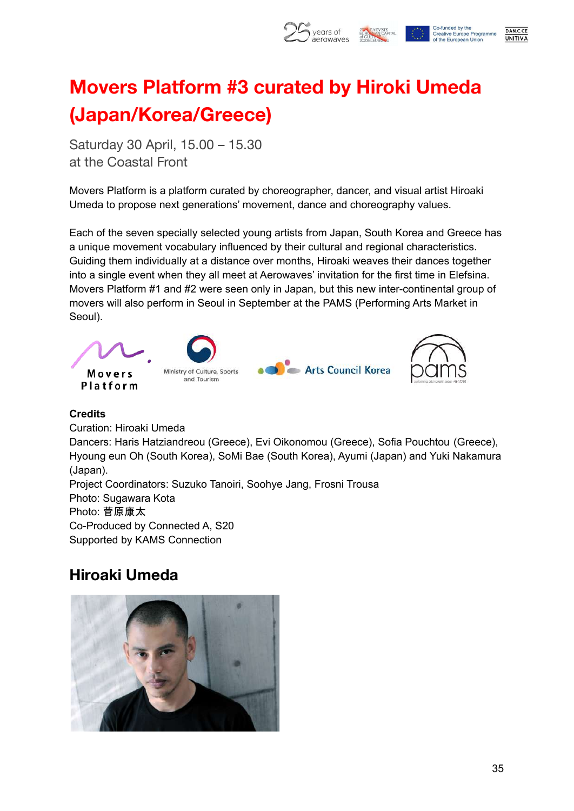

## **Movers Platform #3 curated by Hiroki Umeda (Japan/Korea/Greece)**

Saturday 30 April, 15.00 – 15.30 at the Coastal Front

Movers Platform is a platform curated by choreographer, dancer, and visual artist Hiroaki Umeda to propose next generations' movement, dance and choreography values.

Each of the seven specially selected young artists from Japan, South Korea and Greece has a unique movement vocabulary influenced by their cultural and regional characteristics. Guiding them individually at a distance over months, Hiroaki weaves their dances together into a single event when they all meet at Aerowaves' invitation for the first time in Elefsina. Movers Platform #1 and #2 were seen only in Japan, but this new inter-continental group of movers will also perform in Seoul in September at the PAMS (Performing Arts Market in Seoul).



#### **Credits**

Curation: Hiroaki Umeda Dancers: Haris Hatziandreou (Greece), Evi Oikonomou (Greece), Sofia Pouchtou (Greece), Hyoung eun Oh (South Korea), SoMi Bae (South Korea), Ayumi (Japan) and Yuki Nakamura (Japan). Project Coordinators: Suzuko Tanoiri, Soohye Jang, Frosni Trousa Photo: Sugawara Kota Photo: 菅原康太 Co-Produced by Connected A, S20 Supported by KAMS Connection

### **Hiroaki Umeda**

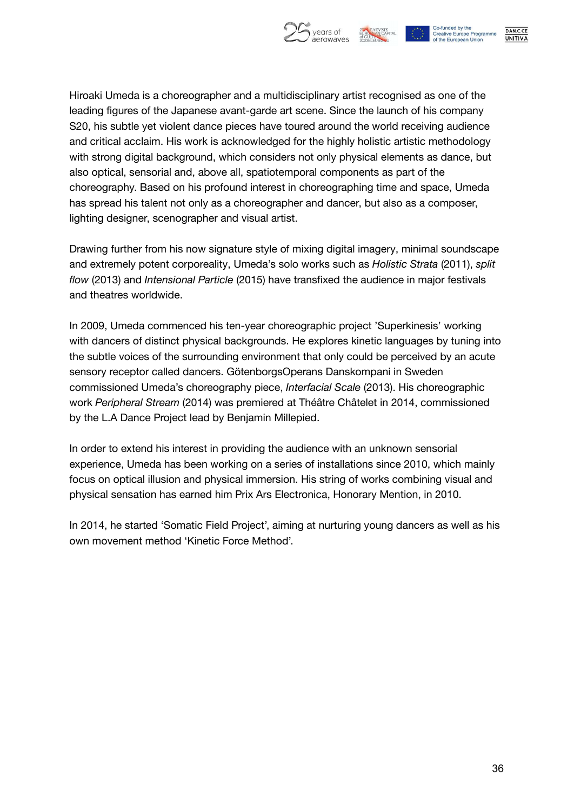



DAN.C.CE **UNITIVA** 

Hiroaki Umeda is a choreographer and a multidisciplinary artist recognised as one of the leading figures of the Japanese avant-garde art scene. Since the launch of his company S20, his subtle yet violent dance pieces have toured around the world receiving audience and critical acclaim. His work is acknowledged for the highly holistic artistic methodology with strong digital background, which considers not only physical elements as dance, but also optical, sensorial and, above all, spatiotemporal components as part of the choreography. Based on his profound interest in choreographing time and space, Umeda has spread his talent not only as a choreographer and dancer, but also as a composer, lighting designer, scenographer and visual artist.

Drawing further from his now signature style of mixing digital imagery, minimal soundscape and extremely potent corporeality, Umeda's solo works such as *Holistic Strata* (2011), *split flow* (2013) and *Intensional Particle* (2015) have transfixed the audience in major festivals and theatres worldwide.

In 2009, Umeda commenced his ten-year choreographic project 'Superkinesis' working with dancers of distinct physical backgrounds. He explores kinetic languages by tuning into the subtle voices of the surrounding environment that only could be perceived by an acute sensory receptor called dancers. GötenborgsOperans Danskompani in Sweden commissioned Umeda's choreography piece, *Interfacial Scale* (2013). His choreographic work *Peripheral Stream* (2014) was premiered at Théâtre Châtelet in 2014, commissioned by the L.A Dance Project lead by Benjamin Millepied.

In order to extend his interest in providing the audience with an unknown sensorial experience, Umeda has been working on a series of installations since 2010, which mainly focus on optical illusion and physical immersion. His string of works combining visual and physical sensation has earned him Prix Ars Electronica, Honorary Mention, in 2010.

In 2014, he started 'Somatic Field Project', aiming at nurturing young dancers as well as his own movement method 'Kinetic Force Method'.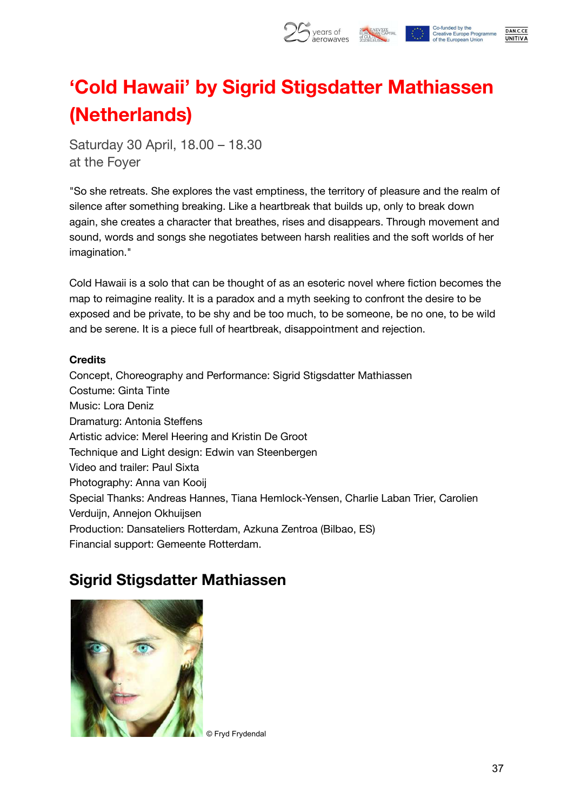

## **'Cold Hawaii' by Sigrid Stigsdatter Mathiassen (Netherlands)**

Saturday 30 April, 18.00 – 18.30 at the Foyer

"So she retreats. She explores the vast emptiness, the territory of pleasure and the realm of silence after something breaking. Like a heartbreak that builds up, only to break down again, she creates a character that breathes, rises and disappears. Through movement and sound, words and songs she negotiates between harsh realities and the soft worlds of her imagination."

Cold Hawaii is a solo that can be thought of as an esoteric novel where fiction becomes the map to reimagine reality. It is a paradox and a myth seeking to confront the desire to be exposed and be private, to be shy and be too much, to be someone, be no one, to be wild and be serene. It is a piece full of heartbreak, disappointment and rejection.

#### **Credits**

Concept, Choreography and Performance: Sigrid Stigsdatter Mathiassen Costume: Ginta Tinte Music: Lora Deniz Dramaturg: Antonia Steffens Artistic advice: Merel Heering and Kristin De Groot Technique and Light design: Edwin van Steenbergen Video and trailer: Paul Sixta Photography: Anna van Kooij Special Thanks: Andreas Hannes, Tiana Hemlock-Yensen, Charlie Laban Trier, Carolien Verduijn, Annejon Okhuijsen Production: Dansateliers Rotterdam, Azkuna Zentroa (Bilbao, ES) Financial support: Gemeente Rotterdam.

### **Sigrid Stigsdatter Mathiassen**



© Fryd Frydendal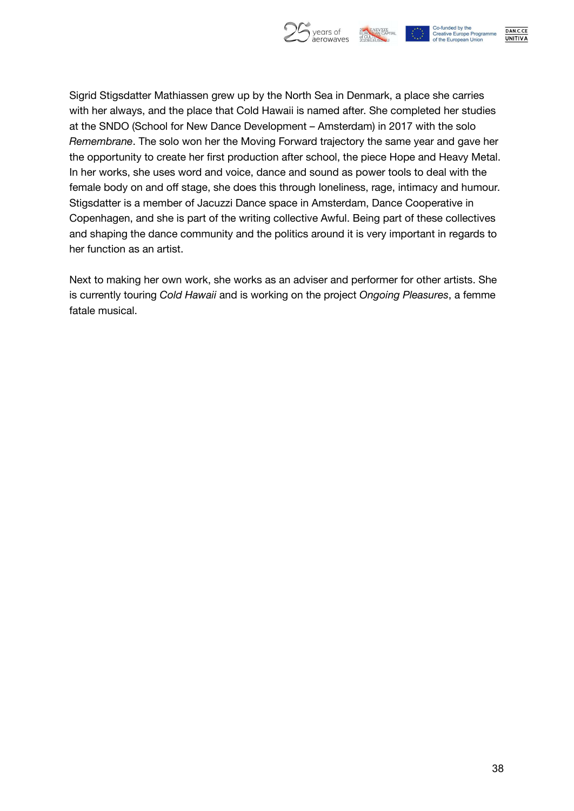

DAN.C.CE **UNITIVA** 

Sigrid Stigsdatter Mathiassen grew up by the North Sea in Denmark, a place she carries with her always, and the place that Cold Hawaii is named after. She completed her studies at the SNDO (School for New Dance Development – Amsterdam) in 2017 with the solo *Remembrane*. The solo won her the Moving Forward trajectory the same year and gave her the opportunity to create her first production after school, the piece Hope and Heavy Metal. In her works, she uses word and voice, dance and sound as power tools to deal with the female body on and off stage, she does this through loneliness, rage, intimacy and humour. Stigsdatter is a member of Jacuzzi Dance space in Amsterdam, Dance Cooperative in Copenhagen, and she is part of the writing collective Awful. Being part of these collectives and shaping the dance community and the politics around it is very important in regards to her function as an artist.

Next to making her own work, she works as an adviser and performer for other artists. She is currently touring *Cold Hawaii* and is working on the project *Ongoing Pleasures*, a femme fatale musical.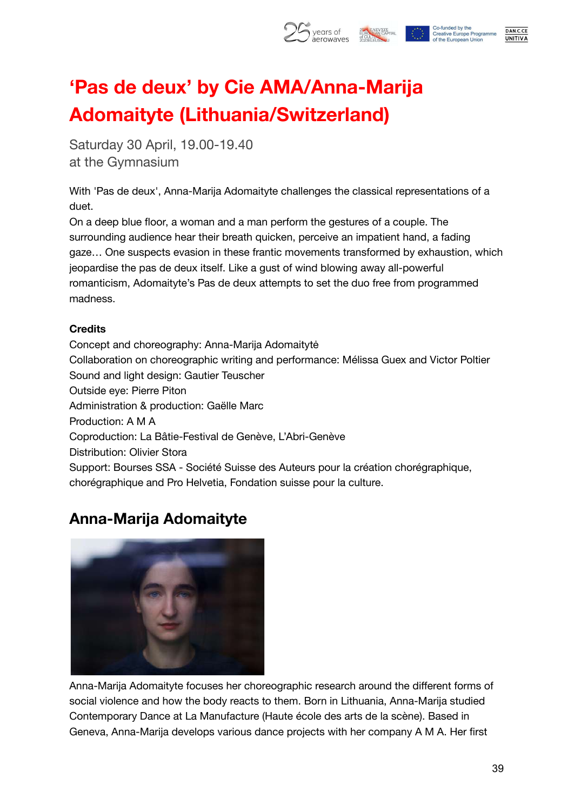

## **'Pas de deux' by Cie AMA/Anna-Marija Adomaityte (Lithuania/Switzerland)**

Saturday 30 April, 19.00-19.40 at the Gymnasium

With 'Pas de deux', Anna-Marija Adomaityte challenges the classical representations of a duet.

On a deep blue floor, a woman and a man perform the gestures of a couple. The surrounding audience hear their breath quicken, perceive an impatient hand, a fading gaze… One suspects evasion in these frantic movements transformed by exhaustion, which jeopardise the pas de deux itself. Like a gust of wind blowing away all-powerful romanticism, Adomaityte's Pas de deux attempts to set the duo free from programmed madness.

#### **Credits**

Concept and choreography: Anna-Marija Adomaitytė Collaboration on choreographic writing and performance: Mélissa Guex and Victor Poltier Sound and light design: Gautier Teuscher Outside eye: Pierre Piton Administration & production: Gaëlle Marc Production: A M A Coproduction: La Bâtie-Festival de Genève, L'Abri-Genève Distribution: Olivier Stora Support: Bourses SSA - Société Suisse des Auteurs pour la création chorégraphique, chorégraphique and Pro Helvetia, Fondation suisse pour la culture.

### **Anna-Marija Adomaityte**



Anna-Marija Adomaityte focuses her choreographic research around the different forms of social violence and how the body reacts to them. Born in Lithuania, Anna-Marija studied Contemporary Dance at La Manufacture (Haute école des arts de la scène). Based in Geneva, Anna-Marija develops various dance projects with her company A M A. Her first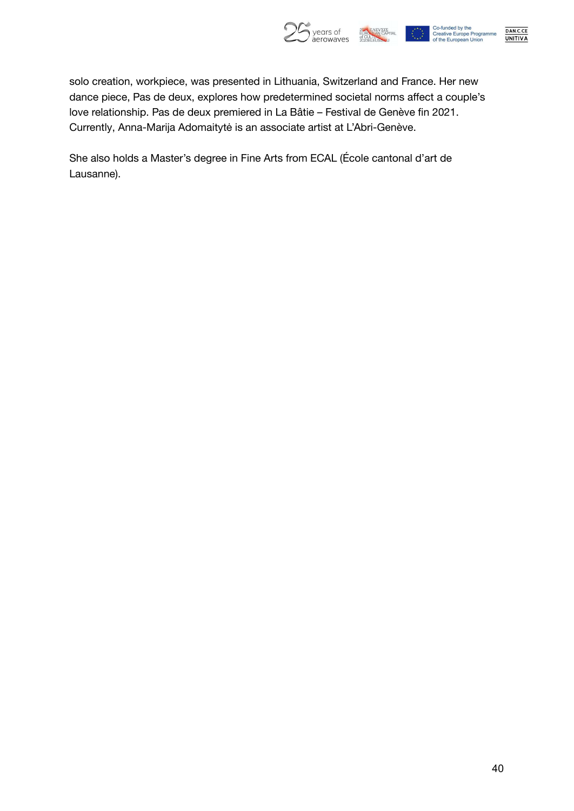

DAN.C.CE<br>UNITIVA

solo creation, workpiece, was presented in Lithuania, Switzerland and France. Her new dance piece, Pas de deux, explores how predetermined societal norms affect a couple's love relationship. Pas de deux premiered in La Bâtie – Festival de Genève fin 2021. Currently, Anna-Marija Adomaitytė is an associate artist at L'Abri-Genève.

She also holds a Master's degree in Fine Arts from ECAL (École cantonal d'art de Lausanne).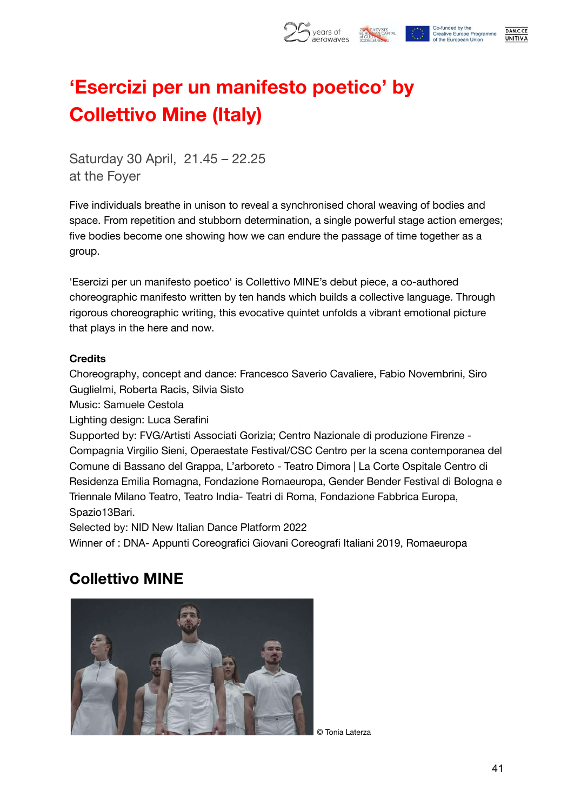

## **'Esercizi per un manifesto poetico' by Collettivo Mine (Italy)**

Saturday 30 April, 21.45 – 22.25 at the Foyer

Five individuals breathe in unison to reveal a synchronised choral weaving of bodies and space. From repetition and stubborn determination, a single powerful stage action emerges; five bodies become one showing how we can endure the passage of time together as a group.

'Esercizi per un manifesto poetico' is Collettivo MINE's debut piece, a co-authored choreographic manifesto written by ten hands which builds a collective language. Through rigorous choreographic writing, this evocative quintet unfolds a vibrant emotional picture that plays in the here and now.

#### **Credits**

Choreography, concept and dance: Francesco Saverio Cavaliere, Fabio Novembrini, Siro Guglielmi, Roberta Racis, Silvia Sisto

Music: Samuele Cestola

Lighting design: Luca Serafini

Supported by: FVG/Artisti Associati Gorizia; Centro Nazionale di produzione Firenze - Compagnia Virgilio Sieni, Operaestate Festival/CSC Centro per la scena contemporanea del Comune di Bassano del Grappa, L'arboreto - Teatro Dimora | La Corte Ospitale Centro di Residenza Emilia Romagna, Fondazione Romaeuropa, Gender Bender Festival di Bologna e Triennale Milano Teatro, Teatro India- Teatri di Roma, Fondazione Fabbrica Europa, Spazio13Bari.

Selected by: NID New Italian Dance Platform 2022

Winner of : DNA- Appunti Coreografici Giovani Coreografi Italiani 2019, Romaeuropa

### **Collettivo MINE**



© Tonia Laterza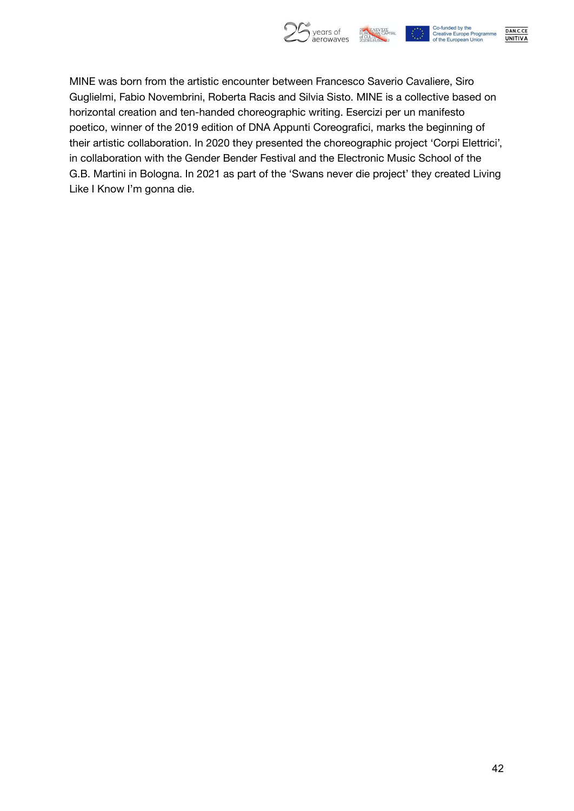

MINE was born from the artistic encounter between Francesco Saverio Cavaliere, Siro Guglielmi, Fabio Novembrini, Roberta Racis and Silvia Sisto. MINE is a collective based on horizontal creation and ten-handed choreographic writing. Esercizi per un manifesto poetico, winner of the 2019 edition of DNA Appunti Coreografici, marks the beginning of their artistic collaboration. In 2020 they presented the choreographic project 'Corpi Elettrici', in collaboration with the Gender Bender Festival and the Electronic Music School of the G.B. Martini in Bologna. In 2021 as part of the 'Swans never die project' they created Living Like I Know I'm gonna die.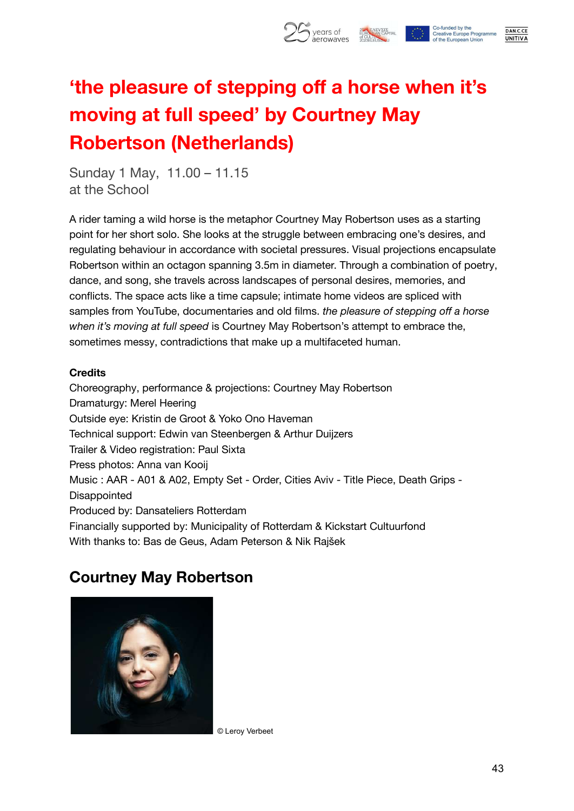

## **'the pleasure of stepping off a horse when it's moving at full speed' by Courtney May Robertson (Netherlands)**

Sunday 1 May, 11.00 – 11.15 at the School

A rider taming a wild horse is the metaphor Courtney May Robertson uses as a starting point for her short solo. She looks at the struggle between embracing one's desires, and regulating behaviour in accordance with societal pressures. Visual projections encapsulate Robertson within an octagon spanning 3.5m in diameter. Through a combination of poetry, dance, and song, she travels across landscapes of personal desires, memories, and conflicts. The space acts like a time capsule; intimate home videos are spliced with samples from YouTube, documentaries and old films. *the pleasure of stepping off a horse when it's moving at full speed* is Courtney May Robertson's attempt to embrace the, sometimes messy, contradictions that make up a multifaceted human.

#### **Credits**

Choreography, performance & projections: Courtney May Robertson Dramaturgy: Merel Heering Outside eye: Kristin de Groot & Yoko Ono Haveman Technical support: Edwin van Steenbergen & Arthur Duijzers Trailer & Video registration: Paul Sixta Press photos: Anna van Kooij Music : AAR - A01 & A02, Empty Set - Order, Cities Aviv - Title Piece, Death Grips - **Disappointed** Produced by: Dansateliers Rotterdam Financially supported by: Municipality of Rotterdam & Kickstart Cultuurfond With thanks to: Bas de Geus, Adam Peterson & Nik Rajšek

### **Courtney May Robertson**



© Leroy Verbeet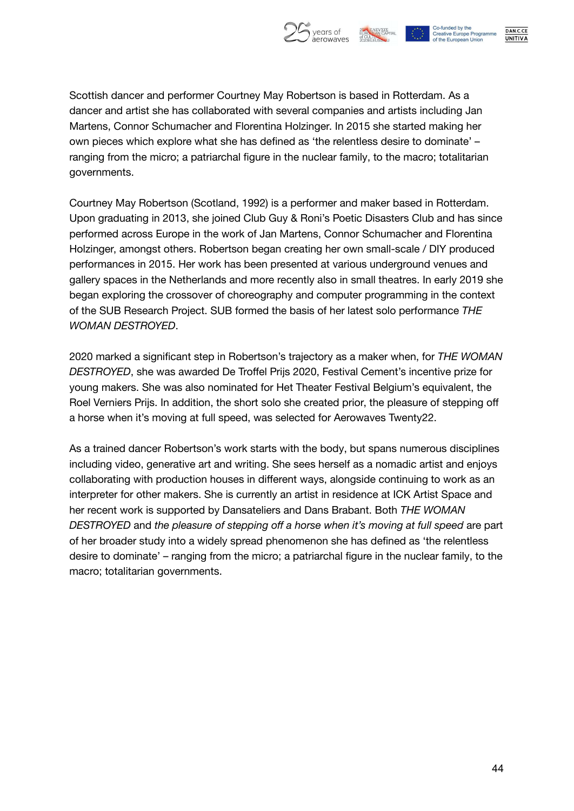

DAN.C.CE **UNITIVA** 

Scottish dancer and performer Courtney May Robertson is based in Rotterdam. As a dancer and artist she has collaborated with several companies and artists including Jan Martens, Connor Schumacher and Florentina Holzinger. In 2015 she started making her own pieces which explore what she has defined as 'the relentless desire to dominate' – ranging from the micro; a patriarchal figure in the nuclear family, to the macro; totalitarian governments.

Courtney May Robertson (Scotland, 1992) is a performer and maker based in Rotterdam. Upon graduating in 2013, she joined Club Guy & Roni's Poetic Disasters Club and has since performed across Europe in the work of Jan Martens, Connor Schumacher and Florentina Holzinger, amongst others. Robertson began creating her own small-scale / DIY produced performances in 2015. Her work has been presented at various underground venues and gallery spaces in the Netherlands and more recently also in small theatres. In early 2019 she began exploring the crossover of choreography and computer programming in the context of the SUB Research Project. SUB formed the basis of her latest solo performance *THE WOMAN DESTROYED*.

2020 marked a significant step in Robertson's trajectory as a maker when, for *THE WOMAN DESTROYED*, she was awarded De Troffel Prijs 2020, Festival Cement's incentive prize for young makers. She was also nominated for Het Theater Festival Belgium's equivalent, the Roel Verniers Prijs. In addition, the short solo she created prior, the pleasure of stepping off a horse when it's moving at full speed, was selected for Aerowaves Twenty22.

As a trained dancer Robertson's work starts with the body, but spans numerous disciplines including video, generative art and writing. She sees herself as a nomadic artist and enjoys collaborating with production houses in different ways, alongside continuing to work as an interpreter for other makers. She is currently an artist in residence at ICK Artist Space and her recent work is supported by Dansateliers and Dans Brabant. Both *THE WOMAN DESTROYED* and *the pleasure of stepping off a horse when it's moving at full speed* are part of her broader study into a widely spread phenomenon she has defined as 'the relentless desire to dominate' – ranging from the micro; a patriarchal figure in the nuclear family, to the macro; totalitarian governments.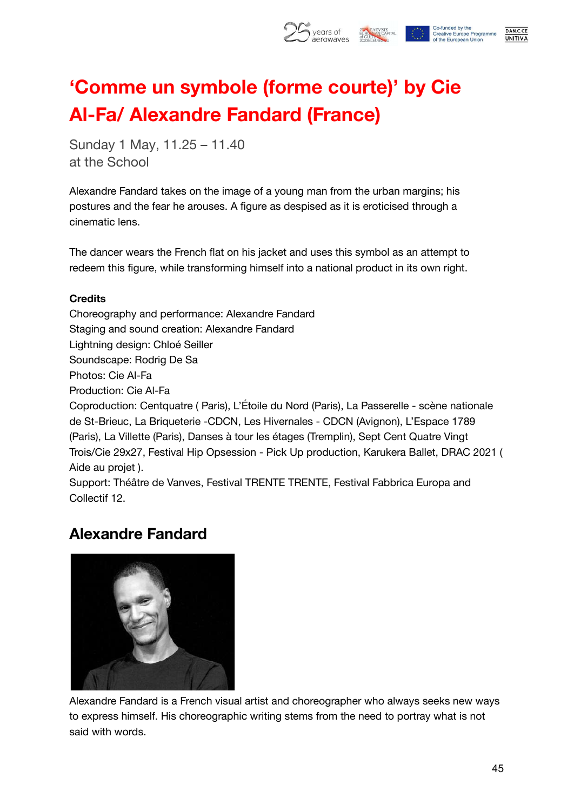

## **'Comme un symbole (forme courte)' by Cie Al-Fa/ Alexandre Fandard (France)**

Sunday 1 May, 11.25 – 11.40 at the School

Alexandre Fandard takes on the image of a young man from the urban margins; his postures and the fear he arouses. A figure as despised as it is eroticised through a cinematic lens.

The dancer wears the French flat on his jacket and uses this symbol as an attempt to redeem this figure, while transforming himself into a national product in its own right.

#### **Credits**

Choreography and performance: Alexandre Fandard Staging and sound creation: Alexandre Fandard Lightning design: Chloé Seiller Soundscape: Rodrig De Sa Photos: Cie Al-Fa Production: Cie Al-Fa Coproduction: Centquatre ( Paris), L'Étoile du Nord (Paris), La Passerelle - scène nationale de St-Brieuc, La Briqueterie -CDCN, Les Hivernales - CDCN (Avignon), L'Espace 1789 (Paris), La Villette (Paris), Danses à tour les étages (Tremplin), Sept Cent Quatre Vingt Trois/Cie 29x27, Festival Hip Opsession - Pick Up production, Karukera Ballet, DRAC 2021 ( Aide au projet ).

Support: Théâtre de Vanves, Festival TRENTE TRENTE, Festival Fabbrica Europa and Collectif 12.

### **Alexandre Fandard**



Alexandre Fandard is a French visual artist and choreographer who always seeks new ways to express himself. His choreographic writing stems from the need to portray what is not said with words.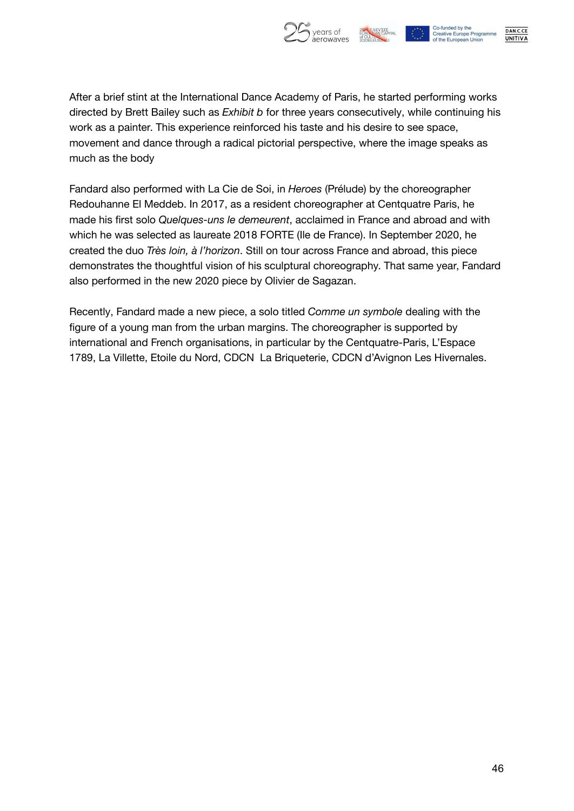



DAN.C.CE **UNITIVA** 

After a brief stint at the International Dance Academy of Paris, he started performing works directed by Brett Bailey such as *Exhibit b* for three years consecutively, while continuing his work as a painter. This experience reinforced his taste and his desire to see space, movement and dance through a radical pictorial perspective, where the image speaks as much as the body

Fandard also performed with La Cie de Soi, in *Heroes* (Prélude) by the choreographer Redouhanne El Meddeb. In 2017, as a resident choreographer at Centquatre Paris, he made his first solo *Quelques-uns le demeurent*, acclaimed in France and abroad and with which he was selected as laureate 2018 FORTE (Ile de France). In September 2020, he created the duo *Très loin, à l'horizon*. Still on tour across France and abroad, this piece demonstrates the thoughtful vision of his sculptural choreography. That same year, Fandard also performed in the new 2020 piece by Olivier de Sagazan.

Recently, Fandard made a new piece, a solo titled *Comme un symbole* dealing with the figure of a young man from the urban margins. The choreographer is supported by international and French organisations, in particular by the Centquatre-Paris, L'Espace 1789, La Villette, Etoile du Nord, CDCN La Briqueterie, CDCN d'Avignon Les Hivernales.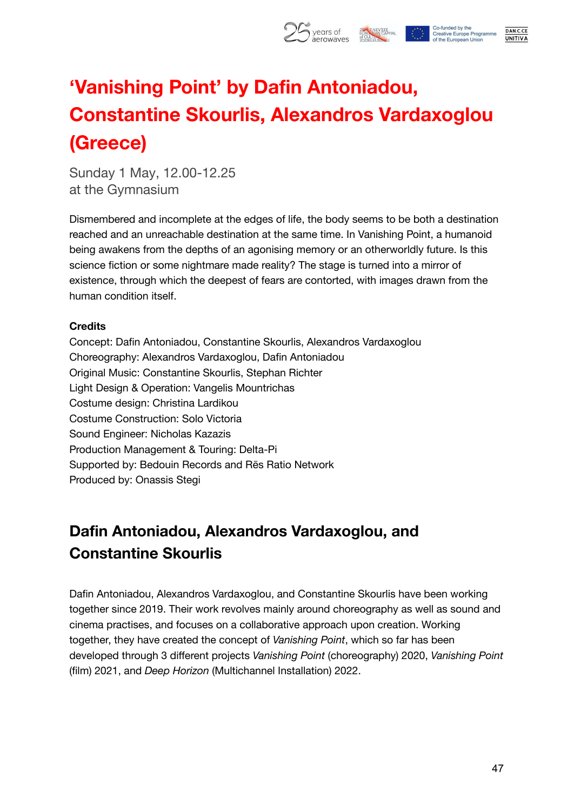

## **'Vanishing Point' by Dafin Antoniadou, Constantine Skourlis, Alexandros Vardaxoglou (Greece)**

Sunday 1 May, 12.00-12.25 at the Gymnasium

Dismembered and incomplete at the edges of life, the body seems to be both a destination reached and an unreachable destination at the same time. In Vanishing Point, a humanoid being awakens from the depths of an agonising memory or an otherworldly future. Is this science fiction or some nightmare made reality? The stage is turned into a mirror of existence, through which the deepest of fears are contorted, with images drawn from the human condition itself.

#### **Credits**

Concept: Dafin Antoniadou, Constantine Skourlis, Alexandros Vardaxoglou Choreography: Alexandros Vardaxoglou, Dafin Antoniadou Original Music: Constantine Skourlis, Stephan Richter Light Design & Operation: Vangelis Mountrichas Costume design: Christina Lardikou Costume Construction: Solo Victoria Sound Engineer: Nicholas Kazazis Production Management & Touring: Delta-Pi Supported by: Bedouin Records and Rēs Ratio Network Produced by: Onassis Stegi

### **Dafin Antoniadou, Alexandros Vardaxoglou, and Constantine Skourlis**

Dafin Antoniadou, Alexandros Vardaxoglou, and Constantine Skourlis have been working together since 2019. Their work revolves mainly around choreography as well as sound and cinema practises, and focuses on a collaborative approach upon creation. Working together, they have created the concept of *Vanishing Point*, which so far has been developed through 3 different projects *Vanishing Point* (choreography) 2020, *Vanishing Point* (film) 2021, and *Deep Horizon* (Multichannel Installation) 2022.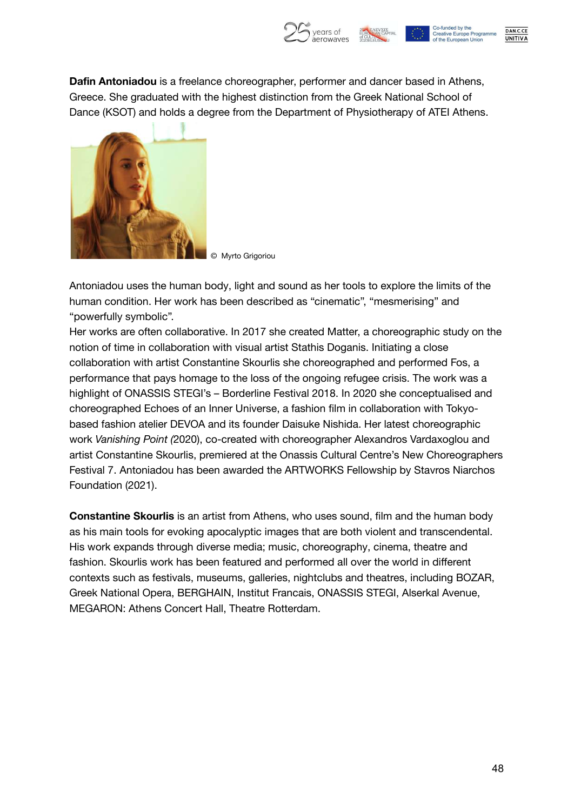

**Dafin Antoniadou** is a freelance choreographer, performer and dancer based in Athens, Greece. She graduated with the highest distinction from the Greek National School of Dance (KSOT) and holds a degree from the Department of Physiotherapy of ATEI Athens.



© Myrto Grigoriou

Antoniadou uses the human body, light and sound as her tools to explore the limits of the human condition. Her work has been described as "cinematic", "mesmerising" and "powerfully symbolic".

Her works are often collaborative. In 2017 she created Matter, a choreographic study on the notion of time in collaboration with visual artist Stathis Doganis. Initiating a close collaboration with artist Constantine Skourlis she choreographed and performed Fos, a performance that pays homage to the loss of the ongoing refugee crisis. The work was a highlight of ONASSIS STEGI's – Borderline Festival 2018. In 2020 she conceptualised and choreographed Echoes of an Inner Universe, a fashion film in collaboration with Tokyobased fashion atelier DEVOA and its founder Daisuke Nishida. Her latest choreographic work *Vanishing Point (*2020), co-created with choreographer Alexandros Vardaxoglou and artist Constantine Skourlis, premiered at the Onassis Cultural Centre's New Choreographers Festival 7. Antoniadou has been awarded the ARTWORKS Fellowship by Stavros Niarchos Foundation (2021).

**Constantine Skourlis** is an artist from Athens, who uses sound, film and the human body as his main tools for evoking apocalyptic images that are both violent and transcendental. His work expands through diverse media; music, choreography, cinema, theatre and fashion. Skourlis work has been featured and performed all over the world in different contexts such as festivals, museums, galleries, nightclubs and theatres, including BOZAR, Greek National Opera, BERGHAIN, Institut Francais, ONASSIS STEGI, Alserkal Avenue, MEGARON: Athens Concert Hall, Theatre Rotterdam.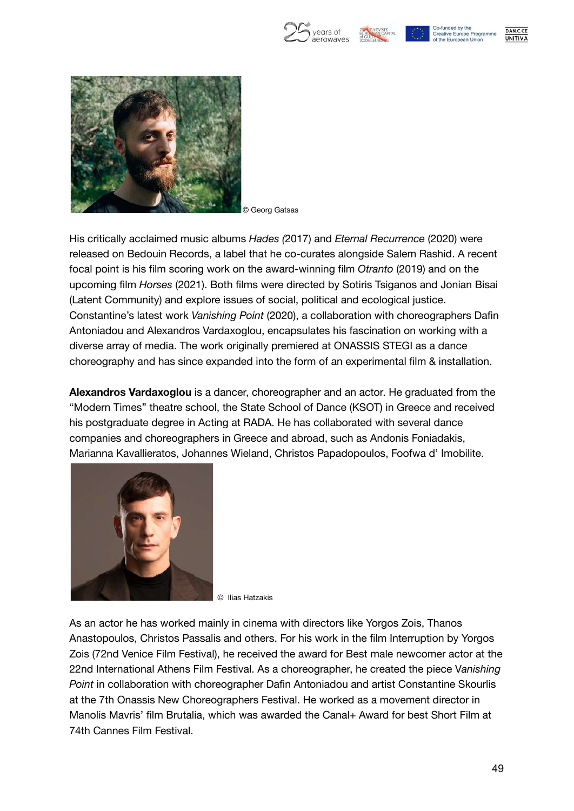







© Georg Gatsas

His critically acclaimed music albums *Hades (*2017) and *Eternal Recurrence* (2020) were released on Bedouin Records, a label that he co-curates alongside Salem Rashid. A recent focal point is his film scoring work on the award-winning film *Otranto* (2019) and on the upcoming film *Horses* (2021). Both films were directed by Sotiris Tsiganos and Jonian Bisai (Latent Community) and explore issues of social, political and ecological justice. Constantine's latest work *Vanishing Point* (2020), a collaboration with choreographers Dafin Antoniadou and Alexandros Vardaxoglou, encapsulates his fascination on working with a diverse array of media. The work originally premiered at ONASSIS STEGI as a dance choreography and has since expanded into the form of an experimental film & installation.

**Alexandros Vardaxoglou** is a dancer, choreographer and an actor. He graduated from the "Modern Times" theatre school, the State School of Dance (KSOT) in Greece and received his postgraduate degree in Acting at RADA. He has collaborated with several dance companies and choreographers in Greece and abroad, such as Andonis Foniadakis, Marianna Kavallieratos, Johannes Wieland, Christos Papadopoulos, Foofwa d' Imobilite.



© Ilias Hatzakis

As an actor he has worked mainly in cinema with directors like Yorgos Zois, Thanos Anastopoulos, Christos Passalis and others. For his work in the film Interruption by Yorgos Zois (72nd Venice Film Festival), he received the award for Best male newcomer actor at the 22nd International Athens Film Festival. As a choreographer, he created the piece V*anishing Point* in collaboration with choreographer Dafin Antoniadou and artist Constantine Skourlis at the 7th Onassis New Choreographers Festival. He worked as a movement director in Manolis Mavris' film Brutalia, which was awarded the Canal+ Award for best Short Film at 74th Cannes Film Festival.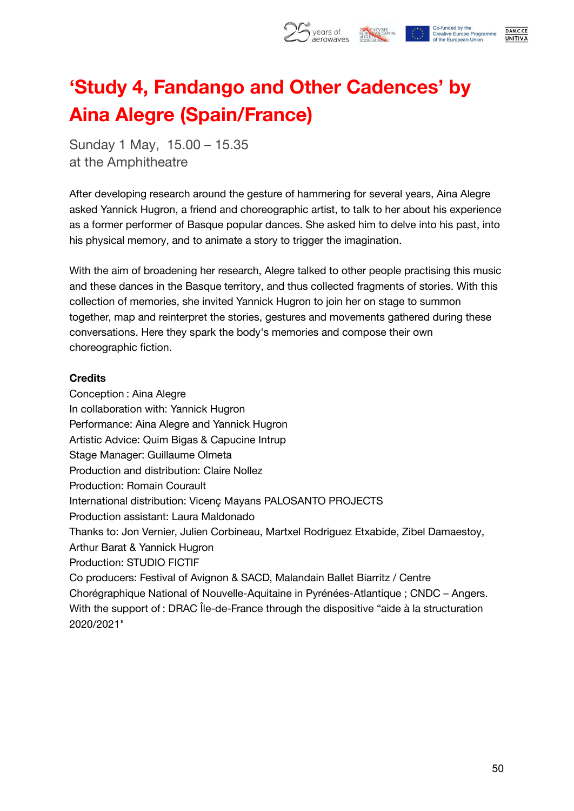

## **'Study 4, Fandango and Other Cadences' by Aina Alegre (Spain/France)**

Sunday 1 May, 15.00 – 15.35 at the Amphitheatre

After developing research around the gesture of hammering for several years, Aina Alegre asked Yannick Hugron, a friend and choreographic artist, to talk to her about his experience as a former performer of Basque popular dances. She asked him to delve into his past, into his physical memory, and to animate a story to trigger the imagination.

With the aim of broadening her research, Alegre talked to other people practising this music and these dances in the Basque territory, and thus collected fragments of stories. With this collection of memories, she invited Yannick Hugron to join her on stage to summon together, map and reinterpret the stories, gestures and movements gathered during these conversations. Here they spark the body's memories and compose their own choreographic fiction.

#### **Credits**

Conception : Aina Alegre In collaboration with: Yannick Hugron Performance: Aina Alegre and Yannick Hugron Artistic Advice: Quim Bigas & Capucine Intrup Stage Manager: Guillaume Olmeta Production and distribution: Claire Nollez Production: Romain Courault International distribution: Vicenç Mayans PALOSANTO PROJECTS Production assistant: Laura Maldonado Thanks to: Jon Vernier, Julien Corbineau, Martxel Rodriguez Etxabide, Zibel Damaestoy, Arthur Barat & Yannick Hugron Production: STUDIO FICTIF Co producers: Festival of Avignon & SACD, Malandain Ballet Biarritz / Centre Chorégraphique National of Nouvelle-Aquitaine in Pyrénées-Atlantique ; CNDC – Angers. With the support of : DRAC Île-de-France through the dispositive "aide à la structuration 2020/2021"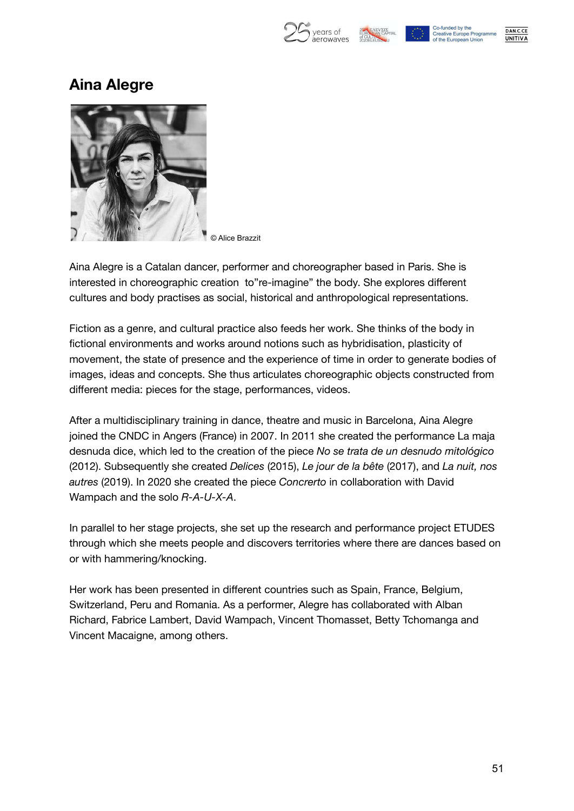



### **Aina Alegre**



© Alice Brazzit

Aina Alegre is a Catalan dancer, performer and choreographer based in Paris. She is interested in choreographic creation to"re-imagine" the body. She explores different cultures and body practises as social, historical and anthropological representations.

Fiction as a genre, and cultural practice also feeds her work. She thinks of the body in fictional environments and works around notions such as hybridisation, plasticity of movement, the state of presence and the experience of time in order to generate bodies of images, ideas and concepts. She thus articulates choreographic objects constructed from different media: pieces for the stage, performances, videos.

After a multidisciplinary training in dance, theatre and music in Barcelona, Aina Alegre joined the CNDC in Angers (France) in 2007. In 2011 she created the performance La maja desnuda dice, which led to the creation of the piece *No se trata de un desnudo mitológico* (2012). Subsequently she created *Delices* (2015), *Le jour de la bête* (2017), and *La nuit, nos autres* (2019). In 2020 she created the piece *Concrerto* in collaboration with David Wampach and the solo *R-A-U-X-A*.

In parallel to her stage projects, she set up the research and performance project ETUDES through which she meets people and discovers territories where there are dances based on or with hammering/knocking.

Her work has been presented in different countries such as Spain, France, Belgium, Switzerland, Peru and Romania. As a performer, Alegre has collaborated with Alban Richard, Fabrice Lambert, David Wampach, Vincent Thomasset, Betty Tchomanga and Vincent Macaigne, among others.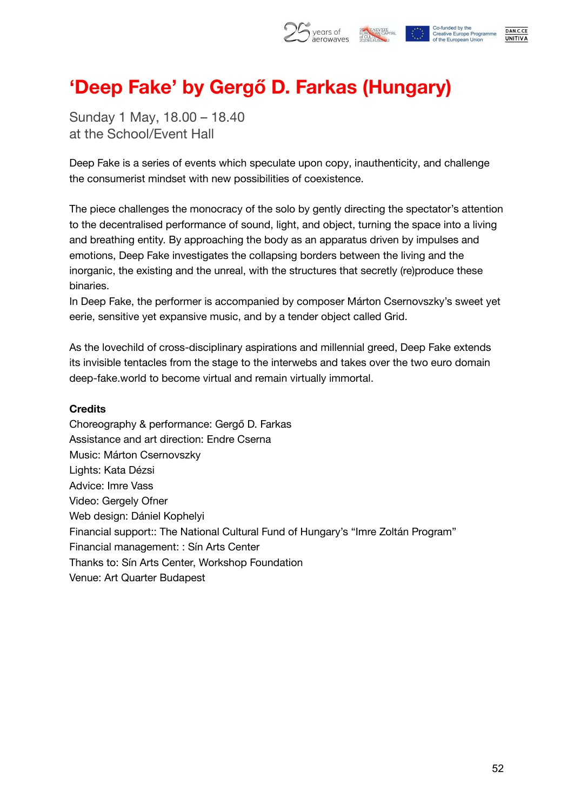

## **'Deep Fake' by Gergő D. Farkas (Hungary)**

Sunday 1 May, 18.00 – 18.40 at the School/Event Hall

Deep Fake is a series of events which speculate upon copy, inauthenticity, and challenge the consumerist mindset with new possibilities of coexistence.

The piece challenges the monocracy of the solo by gently directing the spectator's attention to the decentralised performance of sound, light, and object, turning the space into a living and breathing entity. By approaching the body as an apparatus driven by impulses and emotions, Deep Fake investigates the collapsing borders between the living and the inorganic, the existing and the unreal, with the structures that secretly (re)produce these binaries.

In Deep Fake, the performer is accompanied by composer Márton Csernovszky's sweet yet eerie, sensitive yet expansive music, and by a tender object called Grid.

As the lovechild of cross-disciplinary aspirations and millennial greed, Deep Fake extends its invisible tentacles from the stage to the interwebs and takes over the two euro domain deep-fake.world to become virtual and remain virtually immortal.

#### **Credits**

Choreography & performance: Gergő D. Farkas Assistance and art direction: Endre Cserna Music: Márton Csernovszky Lights: Kata Dézsi Advice: Imre Vass Video: Gergely Ofner Web design: Dániel Kophelyi Financial support:: The National Cultural Fund of Hungary's "Imre Zoltán Program" Financial management: : Sín Arts Center Thanks to: Sín Arts Center, Workshop Foundation Venue: Art Quarter Budapest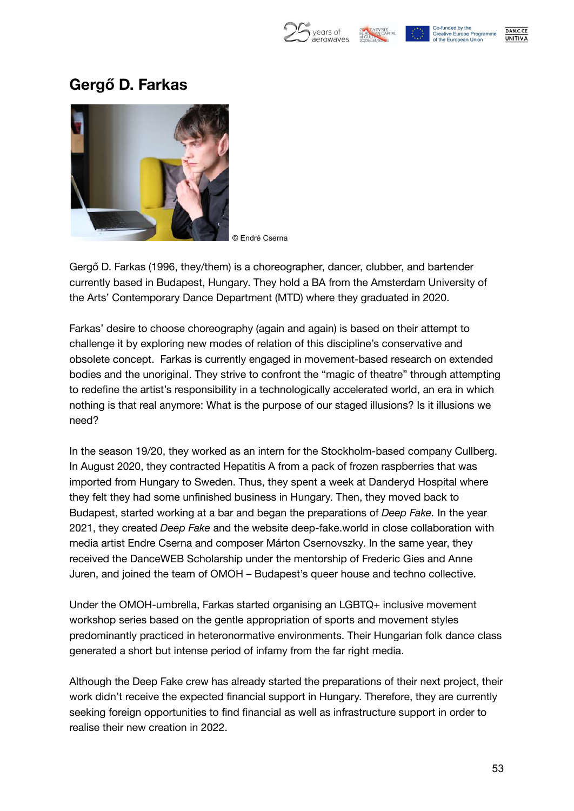| vears of  |  |
|-----------|--|
| aerowayes |  |





### **Gergő D. Farkas**



© Endré Cserna

Gergő D. Farkas (1996, they/them) is a choreographer, dancer, clubber, and bartender currently based in Budapest, Hungary. They hold a BA from the Amsterdam University of the Arts' Contemporary Dance Department (MTD) where they graduated in 2020.

Farkas' desire to choose choreography (again and again) is based on their attempt to challenge it by exploring new modes of relation of this discipline's conservative and obsolete concept. Farkas is currently engaged in movement-based research on extended bodies and the unoriginal. They strive to confront the "magic of theatre" through attempting to redefine the artist's responsibility in a technologically accelerated world, an era in which nothing is that real anymore: What is the purpose of our staged illusions? Is it illusions we need?

In the season 19/20, they worked as an intern for the Stockholm-based company Cullberg. In August 2020, they contracted Hepatitis A from a pack of frozen raspberries that was imported from Hungary to Sweden. Thus, they spent a week at Danderyd Hospital where they felt they had some unfinished business in Hungary. Then, they moved back to Budapest, started working at a bar and began the preparations of *Deep Fake.* In the year 2021, they created *Deep Fake* and the website deep-fake.world in close collaboration with media artist Endre Cserna and composer Márton Csernovszky. In the same year, they received the DanceWEB Scholarship under the mentorship of Frederic Gies and Anne Juren, and joined the team of OMOH – Budapest's queer house and techno collective.

Under the OMOH-umbrella, Farkas started organising an LGBTQ+ inclusive movement workshop series based on the gentle appropriation of sports and movement styles predominantly practiced in heteronormative environments. Their Hungarian folk dance class generated a short but intense period of infamy from the far right media.

Although the Deep Fake crew has already started the preparations of their next project, their work didn't receive the expected financial support in Hungary. Therefore, they are currently seeking foreign opportunities to find financial as well as infrastructure support in order to realise their new creation in 2022.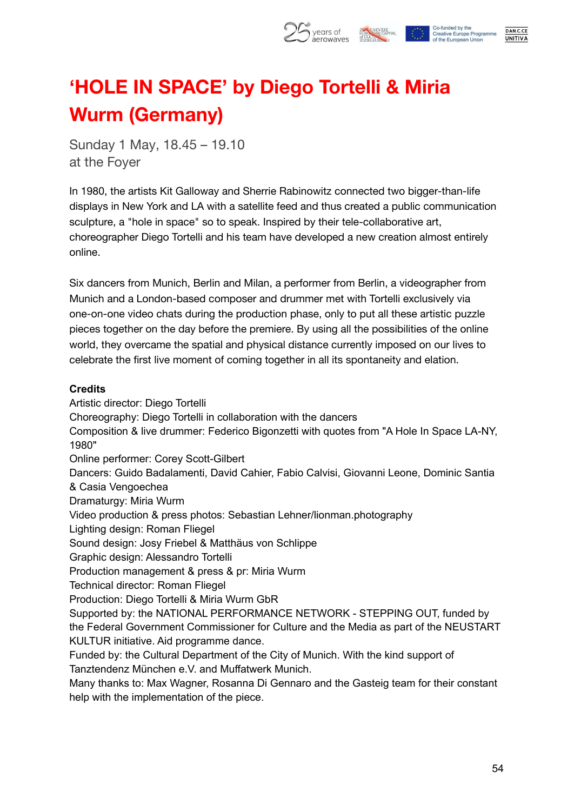

## **'HOLE IN SPACE' by Diego Tortelli & Miria Wurm (Germany)**

Sunday 1 May, 18.45 – 19.10 at the Foyer

In 1980, the artists Kit Galloway and Sherrie Rabinowitz connected two bigger-than-life displays in New York and LA with a satellite feed and thus created a public communication sculpture, a "hole in space" so to speak. Inspired by their tele-collaborative art, choreographer Diego Tortelli and his team have developed a new creation almost entirely online.

Six dancers from Munich, Berlin and Milan, a performer from Berlin, a videographer from Munich and a London-based composer and drummer met with Tortelli exclusively via one-on-one video chats during the production phase, only to put all these artistic puzzle pieces together on the day before the premiere. By using all the possibilities of the online world, they overcame the spatial and physical distance currently imposed on our lives to celebrate the first live moment of coming together in all its spontaneity and elation.

#### **Credits**

Artistic director: Diego Tortelli Choreography: Diego Tortelli in collaboration with the dancers Composition & live drummer: Federico Bigonzetti with quotes from "A Hole In Space LA-NY, 1980" Online performer: Corey Scott-Gilbert Dancers: Guido Badalamenti, David Cahier, Fabio Calvisi, Giovanni Leone, Dominic Santia & Casia Vengoechea Dramaturgy: Miria Wurm Video production & press photos: Sebastian Lehner/lionman.photography Lighting design: Roman Fliegel Sound design: Josy Friebel & Matthäus von Schlippe Graphic design: Alessandro Tortelli Production management & press & pr: Miria Wurm Technical director: Roman Fliegel Production: Diego Tortelli & Miria Wurm GbR Supported by: the NATIONAL PERFORMANCE NETWORK - STEPPING OUT, funded by the Federal Government Commissioner for Culture and the Media as part of the NEUSTART KULTUR initiative. Aid programme dance. Funded by: the Cultural Department of the City of Munich. With the kind support of Tanztendenz München e.V. and Muffatwerk Munich. Many thanks to: Max Wagner, Rosanna Di Gennaro and the Gasteig team for their constant help with the implementation of the piece.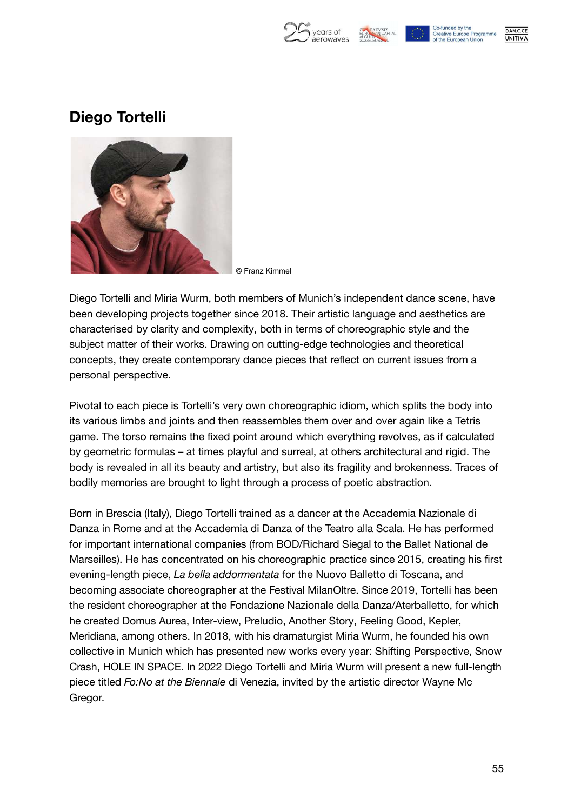



Co-funded by the **Creative Europe Programme** of the European Unior



### **Diego Tortelli**



© Franz Kimmel

Diego Tortelli and Miria Wurm, both members of Munich's independent dance scene, have been developing projects together since 2018. Their artistic language and aesthetics are characterised by clarity and complexity, both in terms of choreographic style and the subject matter of their works. Drawing on cutting-edge technologies and theoretical concepts, they create contemporary dance pieces that reflect on current issues from a personal perspective.

Pivotal to each piece is Tortelli's very own choreographic idiom, which splits the body into its various limbs and joints and then reassembles them over and over again like a Tetris game. The torso remains the fixed point around which everything revolves, as if calculated by geometric formulas – at times playful and surreal, at others architectural and rigid. The body is revealed in all its beauty and artistry, but also its fragility and brokenness. Traces of bodily memories are brought to light through a process of poetic abstraction.

Born in Brescia (Italy), Diego Tortelli trained as a dancer at the Accademia Nazionale di Danza in Rome and at the Accademia di Danza of the Teatro alla Scala. He has performed for important international companies (from BOD/Richard Siegal to the Ballet National de Marseilles). He has concentrated on his choreographic practice since 2015, creating his first evening-length piece, *La bella addormentata* for the Nuovo Balletto di Toscana, and becoming associate choreographer at the Festival MilanOltre. Since 2019, Tortelli has been the resident choreographer at the Fondazione Nazionale della Danza/Aterballetto, for which he created Domus Aurea, Inter-view, Preludio, Another Story, Feeling Good, Kepler, Meridiana, among others. In 2018, with his dramaturgist Miria Wurm, he founded his own collective in Munich which has presented new works every year: Shifting Perspective, Snow Crash, HOLE IN SPACE. In 2022 Diego Tortelli and Miria Wurm will present a new full-length piece titled *Fo:No at the Biennale* di Venezia, invited by the artistic director Wayne Mc Gregor.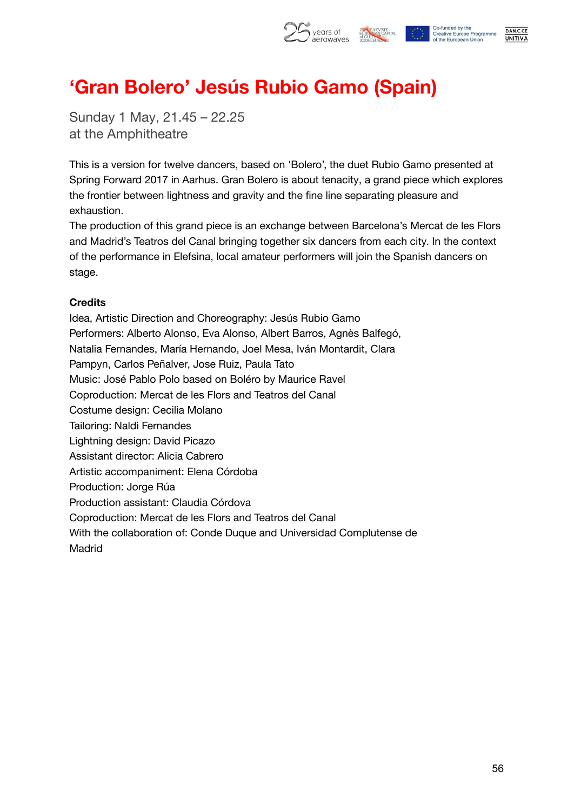

## **'Gran Bolero' Jesús Rubio Gamo (Spain)**

Sunday 1 May, 21.45 – 22.25 at the Amphitheatre

This is a version for twelve dancers, based on 'Bolero', the duet Rubio Gamo presented at Spring Forward 2017 in Aarhus. Gran Bolero is about tenacity, a grand piece which explores the frontier between lightness and gravity and the fine line separating pleasure and exhaustion.

The production of this grand piece is an exchange between Barcelona's Mercat de les Flors and Madrid's Teatros del Canal bringing together six dancers from each city. In the context of the performance in Elefsina, local amateur performers will join the Spanish dancers on stage.

#### **Credits**

Idea, Artistic Direction and Choreography: Jesús Rubio Gamo Performers: Alberto Alonso, Eva Alonso, Albert Barros, Agnès Balfegó, Natalia Fernandes, María Hernando, Joel Mesa, Iván Montardit, Clara Pampyn, Carlos Peñalver, Jose Ruiz, Paula Tato Music: José Pablo Polo based on Boléro by Maurice Ravel Coproduction: Mercat de les Flors and Teatros del Canal Costume design: Cecilia Molano Tailoring: Naldi Fernandes Lightning design: David Picazo Assistant director: Alicia Cabrero Artistic accompaniment: Elena Córdoba Production: Jorge Rúa Production assistant: Claudia Córdova Coproduction: Mercat de les Flors and Teatros del Canal With the collaboration of: Conde Duque and Universidad Complutense de Madrid